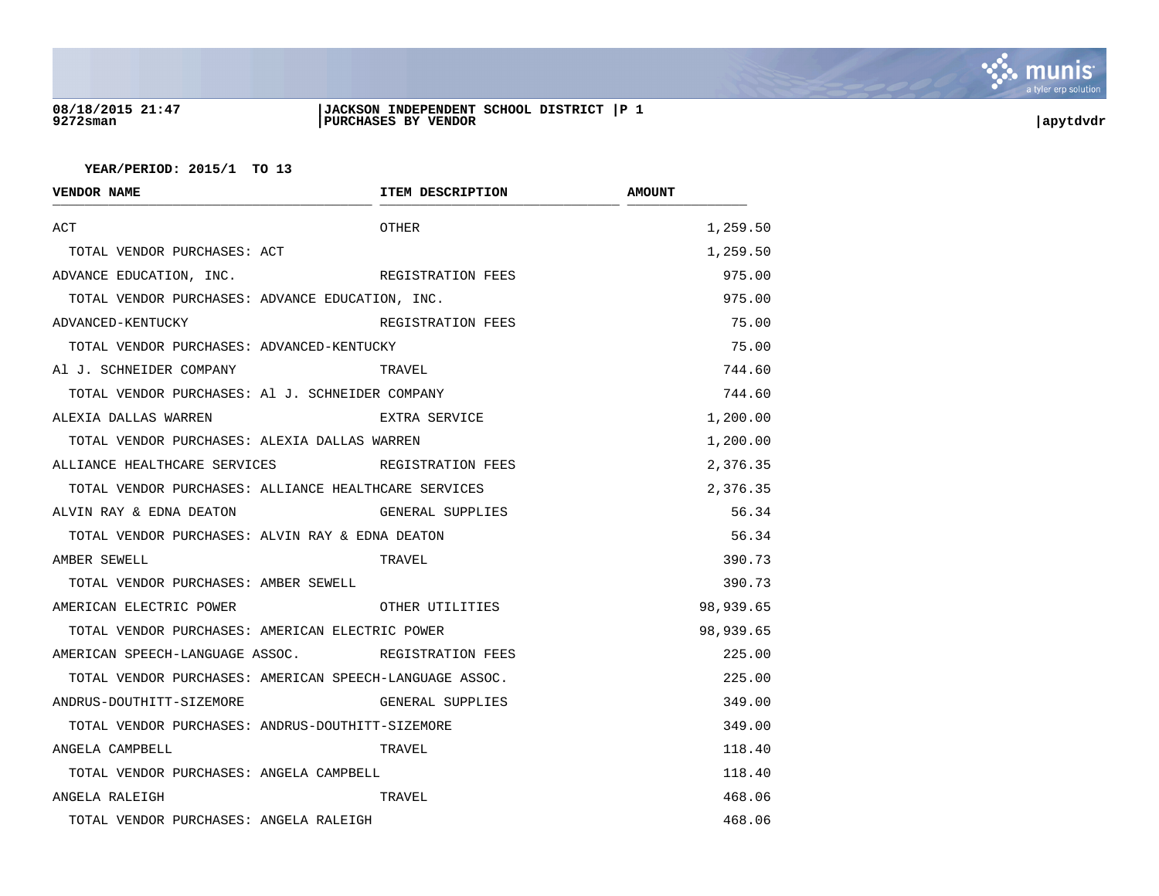

## **08/18/2015 21:47 |JACKSON INDEPENDENT SCHOOL DISTRICT |P 1 9272sman |PURCHASES BY VENDOR |apytdvdr**

| <b>VENDOR NAME</b>                                      | ITEM DESCRIPTION  | <b>AMOUNT</b> |
|---------------------------------------------------------|-------------------|---------------|
| ACT                                                     | <b>OTHER</b>      | 1,259.50      |
| TOTAL VENDOR PURCHASES: ACT                             |                   | 1,259.50      |
| ADVANCE EDUCATION, INC.                                 | REGISTRATION FEES | 975.00        |
| TOTAL VENDOR PURCHASES: ADVANCE EDUCATION, INC.         |                   | 975.00        |
| ADVANCED-KENTUCKY                                       | REGISTRATION FEES | 75.00         |
| TOTAL VENDOR PURCHASES: ADVANCED-KENTUCKY               |                   | 75.00         |
| Al J. SCHNEIDER COMPANY                                 | TRAVEL            | 744.60        |
| TOTAL VENDOR PURCHASES: Al J. SCHNEIDER COMPANY         |                   | 744.60        |
| ALEXIA DALLAS WARREN                                    | EXTRA SERVICE     | 1,200.00      |
| TOTAL VENDOR PURCHASES: ALEXIA DALLAS WARREN            |                   | 1,200.00      |
| ALLIANCE HEALTHCARE SERVICES THE REGISTRATION FEES      |                   | 2,376.35      |
| TOTAL VENDOR PURCHASES: ALLIANCE HEALTHCARE SERVICES    |                   | 2,376.35      |
| ALVIN RAY & EDNA DEATON                                 | GENERAL SUPPLIES  | 56.34         |
| TOTAL VENDOR PURCHASES: ALVIN RAY & EDNA DEATON         |                   | 56.34         |
| AMBER SEWELL                                            | TRAVEL            | 390.73        |
| TOTAL VENDOR PURCHASES: AMBER SEWELL                    |                   | 390.73        |
| AMERICAN ELECTRIC POWER                                 | OTHER UTILITIES   | 98,939.65     |
| TOTAL VENDOR PURCHASES: AMERICAN ELECTRIC POWER         |                   | 98,939.65     |
| AMERICAN SPEECH-LANGUAGE ASSOC. REGISTRATION FEES       |                   | 225.00        |
| TOTAL VENDOR PURCHASES: AMERICAN SPEECH-LANGUAGE ASSOC. |                   | 225.00        |
| ANDRUS-DOUTHITT-SIZEMORE                                | GENERAL SUPPLIES  | 349.00        |
| TOTAL VENDOR PURCHASES: ANDRUS-DOUTHITT-SIZEMORE        |                   | 349.00        |
| ANGELA CAMPBELL                                         | TRAVEL            | 118.40        |
| TOTAL VENDOR PURCHASES: ANGELA CAMPBELL                 |                   | 118.40        |
| ANGELA RALEIGH                                          | TRAVEL            | 468.06        |
| TOTAL VENDOR PURCHASES: ANGELA RALEIGH                  |                   | 468.06        |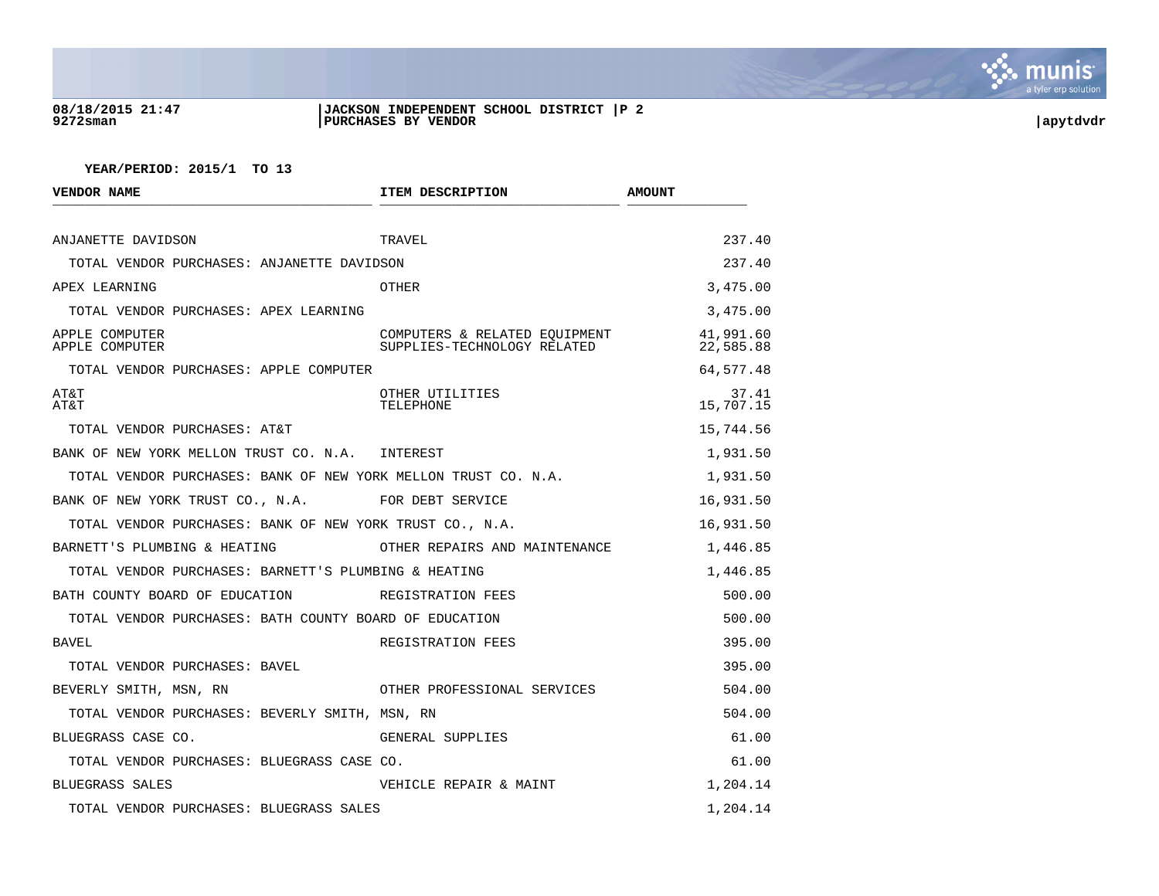

### **08/18/2015 21:47 |JACKSON INDEPENDENT SCHOOL DISTRICT |P 2 9272sman |PURCHASES BY VENDOR |apytdvdr**

| <b>VENDOR NAME</b>                                             | ITEM DESCRIPTION              | <b>AMOUNT</b>          |
|----------------------------------------------------------------|-------------------------------|------------------------|
| ANJANETTE DAVIDSON                                             | TRAVEL                        | 237.40                 |
| TOTAL VENDOR PURCHASES: ANJANETTE DAVIDSON                     |                               | 237.40                 |
| APEX LEARNING                                                  | OTHER                         | 3,475.00               |
| TOTAL VENDOR PURCHASES: APEX LEARNING                          |                               | 3,475.00               |
| APPLE COMPUTER<br>APPLE COMPUTER                               | SUPPLIES-TECHNOLOGY RELATED   | 41,991.60<br>22,585.88 |
| TOTAL VENDOR PURCHASES: APPLE COMPUTER                         |                               | 64,577.48              |
| AT&T<br>AT&T                                                   | OTHER UTILITIES<br>TELEPHONE  | 37.41<br>15,707.15     |
| TOTAL VENDOR PURCHASES: AT&T                                   |                               | 15,744.56              |
| BANK OF NEW YORK MELLON TRUST CO. N.A. INTEREST                |                               | 1,931.50               |
| TOTAL VENDOR PURCHASES: BANK OF NEW YORK MELLON TRUST CO. N.A. |                               | 1,931.50               |
| BANK OF NEW YORK TRUST CO., N.A. FOR DEBT SERVICE              |                               | 16,931.50              |
| TOTAL VENDOR PURCHASES: BANK OF NEW YORK TRUST CO., N.A.       |                               | 16,931.50              |
| BARNETT'S PLUMBING & HEATING                                   | OTHER REPAIRS AND MAINTENANCE | 1,446.85               |
| TOTAL VENDOR PURCHASES: BARNETT'S PLUMBING & HEATING           |                               | 1,446.85               |
| BATH COUNTY BOARD OF EDUCATION                                 | REGISTRATION FEES             | 500.00                 |
| TOTAL VENDOR PURCHASES: BATH COUNTY BOARD OF EDUCATION         |                               | 500.00                 |
| <b>BAVEL</b>                                                   | REGISTRATION FEES             | 395.00                 |
| TOTAL VENDOR PURCHASES: BAVEL                                  |                               | 395.00                 |
| BEVERLY SMITH, MSN, RN                                         | OTHER PROFESSIONAL SERVICES   | 504.00                 |
| TOTAL VENDOR PURCHASES: BEVERLY SMITH, MSN, RN                 |                               | 504.00                 |
| BLUEGRASS CASE CO.                                             | GENERAL SUPPLIES              | 61.00                  |
| TOTAL VENDOR PURCHASES: BLUEGRASS CASE CO.                     |                               | 61.00                  |
| BLUEGRASS SALES                                                | VEHICLE REPAIR & MAINT        | 1,204.14               |
| TOTAL VENDOR PURCHASES: BLUEGRASS SALES                        |                               | 1,204.14               |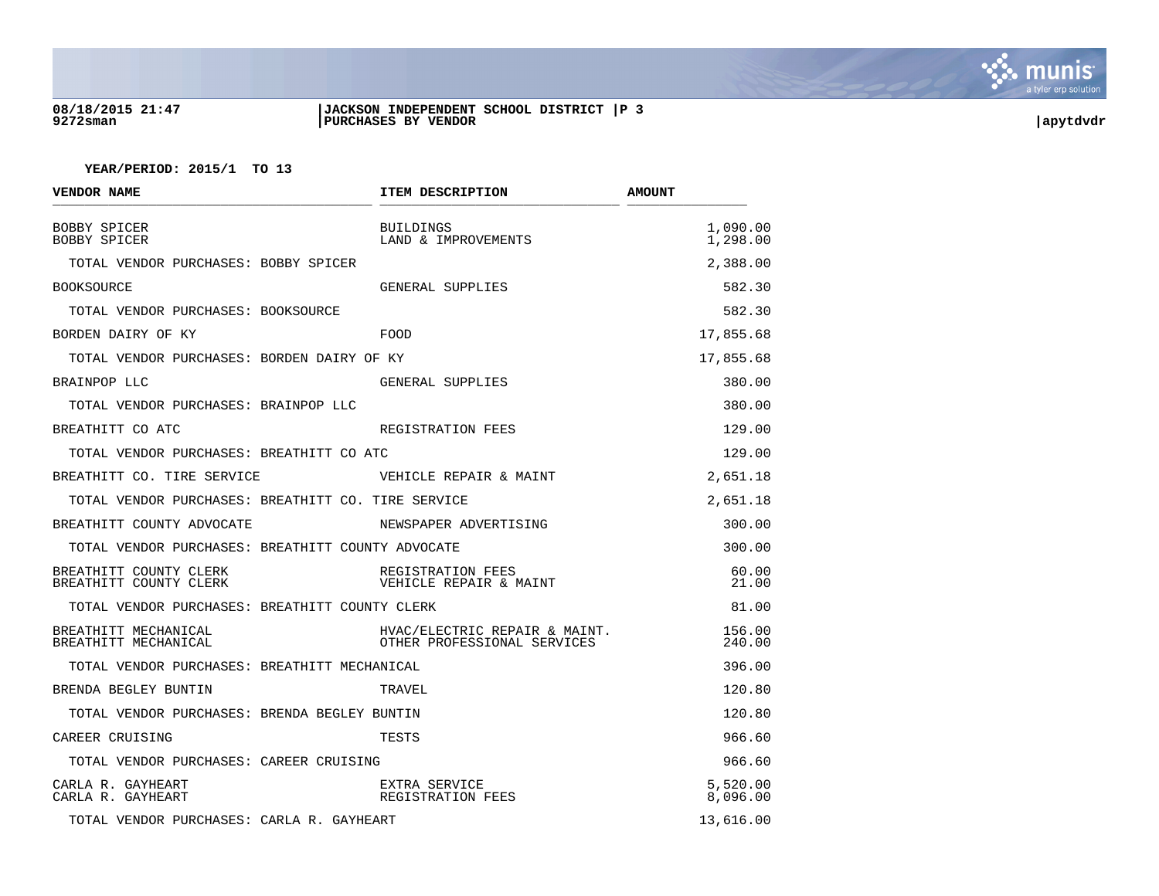

### **08/18/2015 21:47 |JACKSON INDEPENDENT SCHOOL DISTRICT |P 3 9272sman |PURCHASES BY VENDOR |apytdvdr**

| VENDOR NAME                                        | ITEM DESCRIPTION                                             | <b>AMOUNT</b>        |
|----------------------------------------------------|--------------------------------------------------------------|----------------------|
| BOBBY SPICER<br><b>BOBBY SPICER</b>                | <b>BUILDINGS</b><br>LAND & IMPROVEMENTS                      | 1,090.00<br>1,298.00 |
| TOTAL VENDOR PURCHASES: BOBBY SPICER               |                                                              | 2,388.00             |
| <b>BOOKSOURCE</b>                                  | GENERAL SUPPLIES                                             | 582.30               |
| TOTAL VENDOR PURCHASES: BOOKSOURCE                 |                                                              | 582.30               |
| BORDEN DAIRY OF KY                                 | FOOD                                                         | 17,855.68            |
| TOTAL VENDOR PURCHASES: BORDEN DAIRY OF KY         |                                                              | 17,855.68            |
| BRAINPOP LLC                                       | GENERAL SUPPLIES                                             | 380.00               |
| TOTAL VENDOR PURCHASES: BRAINPOP LLC               |                                                              | 380.00               |
| BREATHITT CO ATC                                   | REGISTRATION FEES                                            | 129.00               |
| TOTAL VENDOR PURCHASES: BREATHITT CO ATC           |                                                              | 129.00               |
| BREATHITT CO. TIRE SERVICE                         | VEHICLE REPAIR & MAINT                                       | 2,651.18             |
| TOTAL VENDOR PURCHASES: BREATHITT CO. TIRE SERVICE |                                                              | 2,651.18             |
| BREATHITT COUNTY ADVOCATE                          | NEWSPAPER ADVERTISING                                        | 300.00               |
| TOTAL VENDOR PURCHASES: BREATHITT COUNTY ADVOCATE  |                                                              | 300.00               |
| BREATHITT COUNTY CLERK<br>BREATHITT COUNTY CLERK   | REGISTRATION FEES<br>VEHICLE REPAIR & MAINT                  | 60.00<br>21.00       |
| TOTAL VENDOR PURCHASES: BREATHITT COUNTY CLERK     |                                                              | 81.00                |
| BREATHITT MECHANICAL<br>BREATHITT MECHANICAL       | HVAC/ELECTRIC REPAIR & MAINT.<br>OTHER PROFESSIONAL SERVICES | 156.00<br>240.00     |
| TOTAL VENDOR PURCHASES: BREATHITT MECHANICAL       |                                                              | 396.00               |
| BRENDA BEGLEY BUNTIN                               | TRAVEL                                                       | 120.80               |
| TOTAL VENDOR PURCHASES: BRENDA BEGLEY BUNTIN       |                                                              | 120.80               |
| CAREER CRUISING                                    | TESTS                                                        | 966.60               |
| TOTAL VENDOR PURCHASES: CAREER CRUISING            |                                                              | 966.60               |
| CARLA R. GAYHEART<br>CARLA R. GAYHEART             | EXTRA SERVICE<br>REGISTRATION FEES                           | 5,520.00<br>8,096.00 |
| TOTAL VENDOR PURCHASES: CARLA R. GAYHEART          |                                                              | 13,616.00            |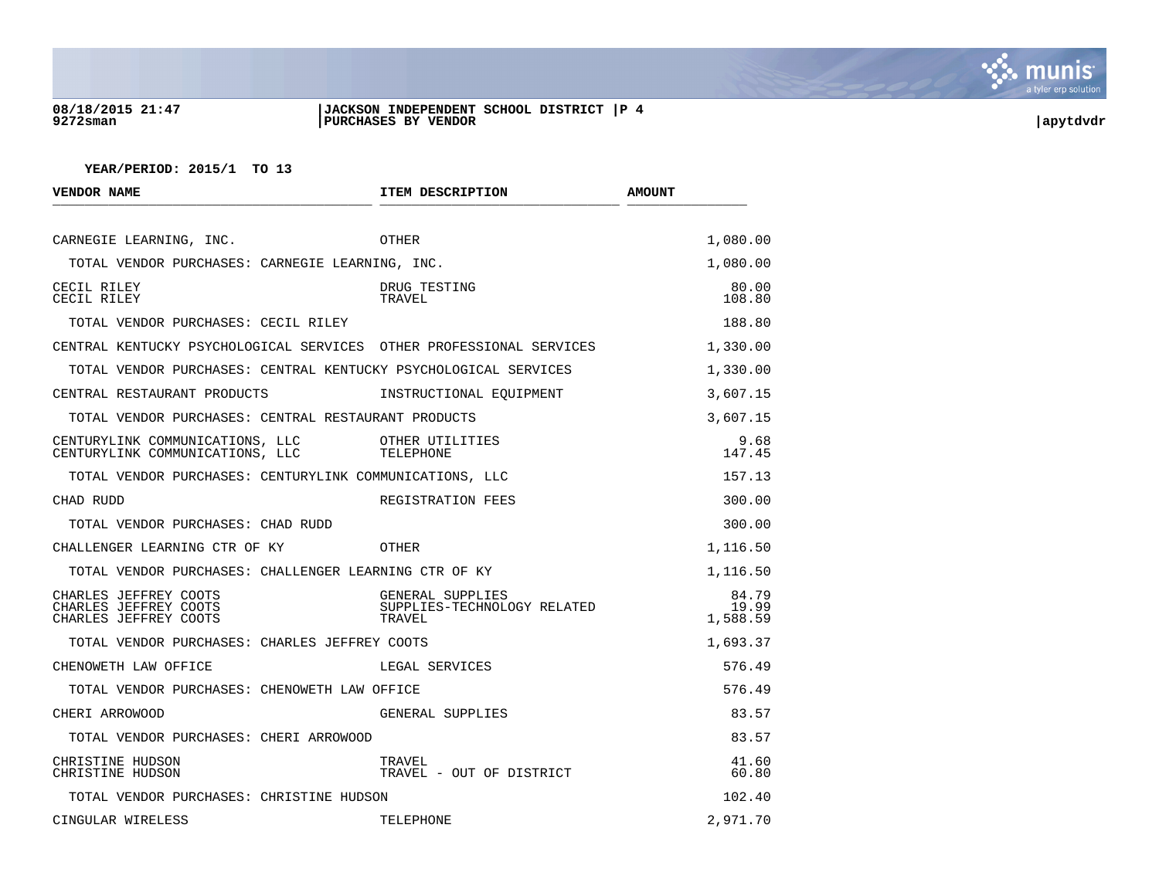

## **08/18/2015 21:47 |JACKSON INDEPENDENT SCHOOL DISTRICT |P 4 9272sman |PURCHASES BY VENDOR |apytdvdr**

| VENDOR NAME                                                             | ITEM DESCRIPTION                                          | <b>AMOUNT</b>              |
|-------------------------------------------------------------------------|-----------------------------------------------------------|----------------------------|
| CARNEGIE LEARNING, INC.                                                 | OTHER                                                     | 1,080.00                   |
| TOTAL VENDOR PURCHASES: CARNEGIE LEARNING, INC.                         |                                                           | 1,080.00                   |
| CECIL RILEY<br>CECIL RILEY                                              | DRUG TESTING<br>TRAVEL                                    | 80.00<br>108.80            |
| TOTAL VENDOR PURCHASES: CECIL RILEY                                     |                                                           | 188.80                     |
| CENTRAL KENTUCKY PSYCHOLOGICAL SERVICES OTHER PROFESSIONAL SERVICES     |                                                           | 1,330.00                   |
| TOTAL VENDOR PURCHASES: CENTRAL KENTUCKY PSYCHOLOGICAL SERVICES         |                                                           | 1,330.00                   |
| CENTRAL RESTAURANT PRODUCTS                                             | INSTRUCTIONAL EOUIPMENT                                   | 3,607.15                   |
| TOTAL VENDOR PURCHASES: CENTRAL RESTAURANT PRODUCTS                     |                                                           | 3,607.15                   |
| CENTURYLINK COMMUNICATIONS, LLC<br>CENTURYLINK COMMUNICATIONS, LLC      | OTHER UTILITIES<br>TELEPHONE                              | 9.68<br>147.45             |
| TOTAL VENDOR PURCHASES: CENTURYLINK COMMUNICATIONS, LLC                 |                                                           | 157.13                     |
| CHAD RUDD                                                               | REGISTRATION FEES                                         | 300.00                     |
| TOTAL VENDOR PURCHASES: CHAD RUDD                                       |                                                           | 300.00                     |
| CHALLENGER LEARNING CTR OF KY                                           | OTHER                                                     | 1,116.50                   |
| TOTAL VENDOR PURCHASES: CHALLENGER LEARNING CTR OF KY                   |                                                           | 1,116.50                   |
| CHARLES JEFFREY COOTS<br>CHARLES JEFFREY COOTS<br>CHARLES JEFFREY COOTS | GENERAL SUPPLIES<br>SUPPLIES-TECHNOLOGY RELATED<br>TRAVEL | 84.79<br>19.99<br>1,588.59 |
| TOTAL VENDOR PURCHASES: CHARLES JEFFREY COOTS                           |                                                           | 1,693.37                   |
| CHENOWETH LAW OFFICE                                                    | LEGAL SERVICES                                            | 576.49                     |
| TOTAL VENDOR PURCHASES: CHENOWETH LAW OFFICE                            |                                                           | 576.49                     |
| CHERI ARROWOOD                                                          | GENERAL SUPPLIES                                          | 83.57                      |
| TOTAL VENDOR PURCHASES: CHERI ARROWOOD                                  |                                                           | 83.57                      |
| CHRISTINE HUDSON<br>CHRISTINE HUDSON                                    | TRAVEL<br>TRAVEL - OUT OF DISTRICT                        | 41.60<br>60.80             |
| TOTAL VENDOR PURCHASES: CHRISTINE HUDSON                                |                                                           | 102.40                     |
| CINGULAR WIRELESS                                                       | TELEPHONE                                                 | 2,971.70                   |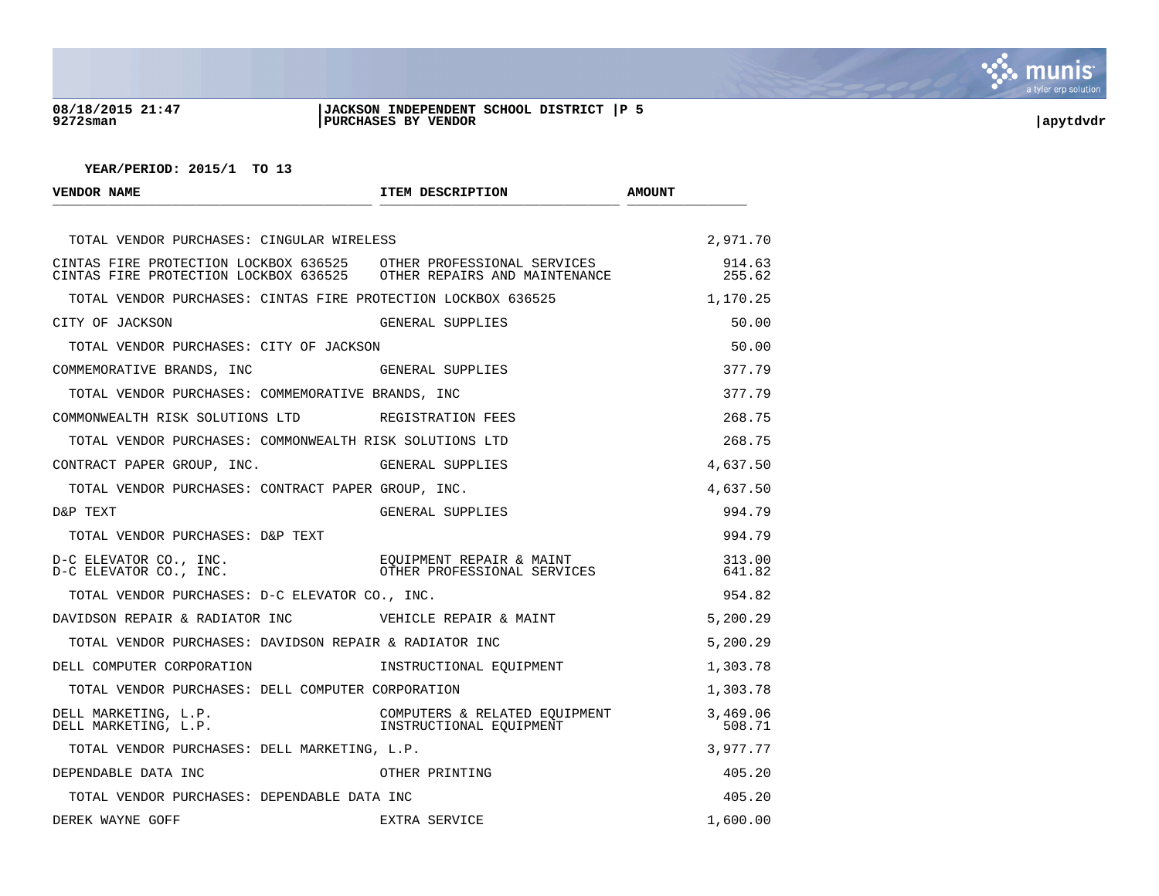

## **08/18/2015 21:47 |JACKSON INDEPENDENT SCHOOL DISTRICT |P 5 9272sman |PURCHASES BY VENDOR |apytdvdr**

| <b>VENDOR NAME</b>                                                                                                                       | ITEM DESCRIPTION                                                                    | <b>AMOUNT</b>      |
|------------------------------------------------------------------------------------------------------------------------------------------|-------------------------------------------------------------------------------------|--------------------|
| TOTAL VENDOR PURCHASES: CINGULAR WIRELESS                                                                                                |                                                                                     | 2,971.70           |
| CINTAS FIRE PROTECTION LOCKBOX 636525 OTHER PROFESSIONAL SERVICES<br>CINTAS FIRE PROTECTION LOCKBOX 636525 OTHER REPAIRS AND MAINTENANCE |                                                                                     | 914.63<br>255.62   |
| TOTAL VENDOR PURCHASES: CINTAS FIRE PROTECTION LOCKBOX 636525                                                                            |                                                                                     | 1,170.25           |
| CITY OF JACKSON                                                                                                                          | GENERAL SUPPLIES                                                                    | 50.00              |
| TOTAL VENDOR PURCHASES: CITY OF JACKSON                                                                                                  |                                                                                     | 50.00              |
| COMMEMORATIVE BRANDS, INC                                                                                                                | GENERAL SUPPLIES                                                                    | 377.79             |
| TOTAL VENDOR PURCHASES: COMMEMORATIVE BRANDS, INC                                                                                        |                                                                                     | 377.79             |
| COMMONWEALTH RISK SOLUTIONS LTD REGISTRATION FEES                                                                                        |                                                                                     | 268.75             |
| TOTAL VENDOR PURCHASES: COMMONWEALTH RISK SOLUTIONS LTD                                                                                  |                                                                                     | 268.75             |
| CONTRACT PAPER GROUP, INC.                                                                                                               | GENERAL SUPPLIES                                                                    | 4,637.50           |
| TOTAL VENDOR PURCHASES: CONTRACT PAPER GROUP, INC.                                                                                       |                                                                                     | 4,637.50           |
| D&P TEXT                                                                                                                                 | GENERAL SUPPLIES                                                                    | 994.79             |
| TOTAL VENDOR PURCHASES: D&P TEXT                                                                                                         |                                                                                     | 994.79             |
| D-C ELEVATOR CO., INC.<br>D-C ELEVATOR CO., INC.                                                                                         | EOUIPMENT REPAIR & MAINT<br>OTHER PROFESSIONAL SERVICES                             | 313.00<br>641.82   |
| TOTAL VENDOR PURCHASES: D-C ELEVATOR CO., INC.                                                                                           |                                                                                     | 954.82             |
| DAVIDSON REPAIR & RADIATOR INC WEHICLE REPAIR & MAINT                                                                                    |                                                                                     | 5,200.29           |
| TOTAL VENDOR PURCHASES: DAVIDSON REPAIR & RADIATOR INC                                                                                   |                                                                                     | 5,200.29           |
| DELL COMPUTER CORPORATION                                                                                                                | INSTRUCTIONAL EOUIPMENT                                                             | 1,303.78           |
| TOTAL VENDOR PURCHASES: DELL COMPUTER CORPORATION                                                                                        |                                                                                     | 1,303.78           |
| DELL MARKETING, L.P.<br>DELL MARKETING, L.P.                                                                                             | COMPUTERS & RELATED EQUIPMENT<br>INSTRUCTIONAL EQUIPMENT<br>INSTRUCTIONAL EOUIPMENT | 3,469.06<br>508.71 |
| TOTAL VENDOR PURCHASES: DELL MARKETING, L.P.                                                                                             |                                                                                     | 3,977.77           |
| DEPENDABLE DATA INC                                                                                                                      | OTHER PRINTING                                                                      | 405.20             |
| TOTAL VENDOR PURCHASES: DEPENDABLE DATA INC                                                                                              |                                                                                     | 405.20             |
| DEREK WAYNE GOFF                                                                                                                         | EXTRA SERVICE                                                                       | 1,600.00           |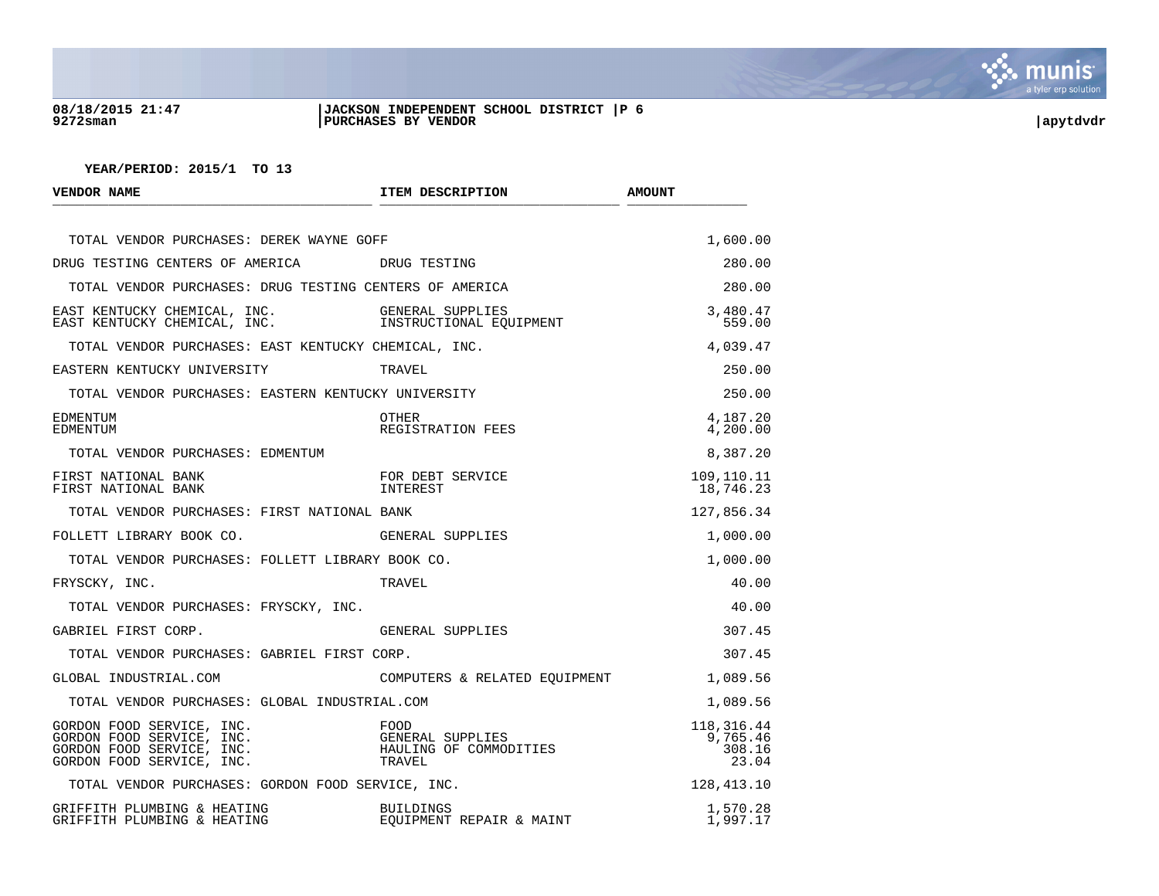

## **08/18/2015 21:47 |JACKSON INDEPENDENT SCHOOL DISTRICT |P 6 9272sman |PURCHASES BY VENDOR |apytdvdr**

| VENDOR NAME                                                                                                                                                                                   | ITEM DESCRIPTION                                             | <b>AMOUNT</b>                               |
|-----------------------------------------------------------------------------------------------------------------------------------------------------------------------------------------------|--------------------------------------------------------------|---------------------------------------------|
| TOTAL VENDOR PURCHASES: DEREK WAYNE GOFF                                                                                                                                                      |                                                              | 1,600.00                                    |
| DRUG TESTING CENTERS OF AMERICA DRUG TESTING                                                                                                                                                  |                                                              | 280.00                                      |
| TOTAL VENDOR PURCHASES: DRUG TESTING CENTERS OF AMERICA                                                                                                                                       |                                                              | 280.00                                      |
| $\begin{tabular}{llllll} \texttt{EAST KENTUCKY CHEMICAL, INC.} & & & \texttt{GENERAL SUPPLIES} \\ \texttt{EAST KENTUCKY CHEMICAL, INC.} & & & \texttt{INSTRUCTIONAL EQUIPMENT} \end{tabular}$ |                                                              | 3,480.47<br>559.00                          |
| TOTAL VENDOR PURCHASES: EAST KENTUCKY CHEMICAL, INC.                                                                                                                                          |                                                              | 4,039.47                                    |
| EASTERN KENTUCKY UNIVERSITY                                                                                                                                                                   | TRAVEL                                                       | 250.00                                      |
| TOTAL VENDOR PURCHASES: EASTERN KENTUCKY UNIVERSITY                                                                                                                                           |                                                              | 250.00                                      |
| EDMENTUM<br>EDMENTUM                                                                                                                                                                          | OTHER<br>REGISTRATION FEES                                   | 4,187.20<br>4,200.00                        |
| TOTAL VENDOR PURCHASES: EDMENTUM                                                                                                                                                              |                                                              | 8,387.20                                    |
| FIRST NATIONAL BANK<br>FIRST NATIONAL BANK                                                                                                                                                    | FOR DEBT SERVICE<br>INTEREST                                 | 109,110.11<br>18,746.23                     |
| TOTAL VENDOR PURCHASES: FIRST NATIONAL BANK                                                                                                                                                   |                                                              | 127,856.34                                  |
| FOLLETT LIBRARY BOOK CO.                                                                                                                                                                      | GENERAL SUPPLIES                                             | 1,000.00                                    |
| TOTAL VENDOR PURCHASES: FOLLETT LIBRARY BOOK CO.                                                                                                                                              |                                                              | 1,000.00                                    |
| FRYSCKY, INC.                                                                                                                                                                                 | TRAVEL                                                       | 40.00                                       |
| TOTAL VENDOR PURCHASES: FRYSCKY, INC.                                                                                                                                                         |                                                              | 40.00                                       |
| GABRIEL FIRST CORP.                                                                                                                                                                           | GENERAL SUPPLIES                                             | 307.45                                      |
| TOTAL VENDOR PURCHASES: GABRIEL FIRST CORP.                                                                                                                                                   |                                                              | 307.45                                      |
| GLOBAL INDUSTRIAL.COM                                                                                                                                                                         | COMPUTERS & RELATED EOUIPMENT                                | 1,089.56                                    |
| TOTAL VENDOR PURCHASES: GLOBAL INDUSTRIAL.COM                                                                                                                                                 |                                                              | 1,089.56                                    |
| GORDON FOOD SERVICE, INC.<br>GORDON FOOD SERVICE, INC.<br>GORDON FOOD SERVICE, INC.<br>GORDON FOOD SERVICE, INC.<br>GORDON FOOD SERVICE, INC.                                                 | FOOD<br>GENERAL SUPPLIES<br>HAULING OF COMMODITIES<br>TRAVEL | 118, 316. 44<br>9,765.46<br>308.16<br>23.04 |
| TOTAL VENDOR PURCHASES: GORDON FOOD SERVICE, INC.                                                                                                                                             |                                                              | 128,413.10                                  |
| GRIFFITH PLUMBING & HEATING<br>GRIFFITH PLUMBING & HEATING                                                                                                                                    | <b>BUILDINGS</b><br>EQUIPMENT REPAIR & MAINT                 | 1,570.28<br>1,997.17                        |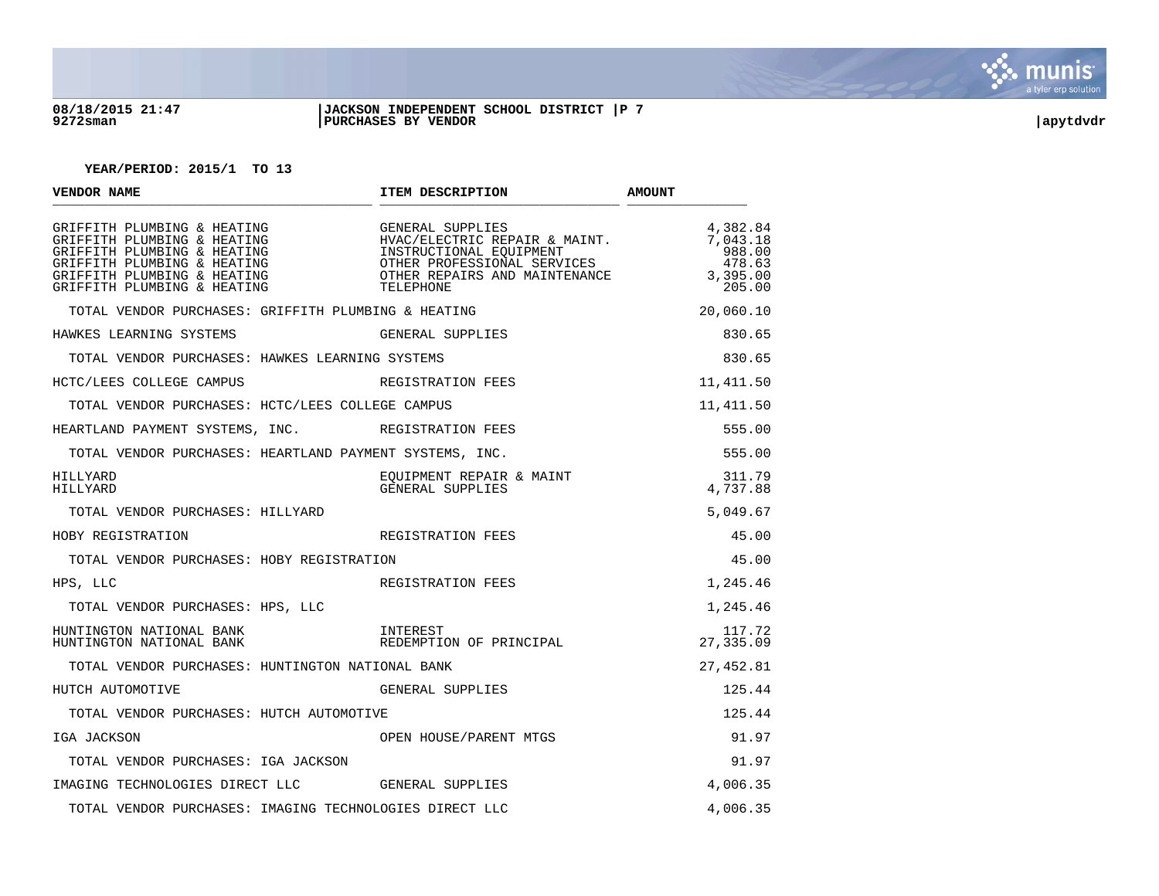

### **08/18/2015 21:47 |JACKSON INDEPENDENT SCHOOL DISTRICT |P 7 9272sman |PURCHASES BY VENDOR |apytdvdr**

| VENDOR NAME                                                                                                                                                                            | ITEM DESCRIPTION                                                                                                                                          | <b>AMOUNT</b>                                                  |
|----------------------------------------------------------------------------------------------------------------------------------------------------------------------------------------|-----------------------------------------------------------------------------------------------------------------------------------------------------------|----------------------------------------------------------------|
| GRIFFITH PLUMBING & HEATING<br>GRIFFITH PLUMBING & HEATING<br>GRIFFITH PLUMBING & HEATING<br>GRIFFITH PLUMBING & HEATING<br>GRIFFITH PLUMBING & HEATING<br>GRIFFITH PLUMBING & HEATING | GENERAL SUPPLIES<br>HVAC/ELECTRIC REPAIR & MAINT.<br>INSTRUCTIONAL EQUIPMENT<br>OTHER PROFESSIONAL SERVICES<br>OTHER REPAIRS AND MAINTENANCE<br>TELEPHONE | 4,382.84<br>7,043.18<br>988.00<br>478.63<br>3,395.00<br>205.00 |
| TOTAL VENDOR PURCHASES: GRIFFITH PLUMBING & HEATING                                                                                                                                    |                                                                                                                                                           | 20,060.10                                                      |
| HAWKES LEARNING SYSTEMS                                                                                                                                                                | GENERAL SUPPLIES                                                                                                                                          | 830.65                                                         |
| TOTAL VENDOR PURCHASES: HAWKES LEARNING SYSTEMS                                                                                                                                        |                                                                                                                                                           | 830.65                                                         |
| HCTC/LEES COLLEGE CAMPUS                                                                                                                                                               | REGISTRATION FEES                                                                                                                                         | 11,411.50                                                      |
| TOTAL VENDOR PURCHASES: HCTC/LEES COLLEGE CAMPUS                                                                                                                                       |                                                                                                                                                           | 11,411.50                                                      |
| HEARTLAND PAYMENT SYSTEMS, INC. REGISTRATION FEES                                                                                                                                      |                                                                                                                                                           | 555.00                                                         |
| TOTAL VENDOR PURCHASES: HEARTLAND PAYMENT SYSTEMS, INC.                                                                                                                                |                                                                                                                                                           | 555.00                                                         |
| HILLYARD<br>HILLYARD                                                                                                                                                                   | EQUIPMENT REPAIR & MAINT<br>GENERAL SUPPLIES                                                                                                              | 311.79<br>4,737.88                                             |
| TOTAL VENDOR PURCHASES: HILLYARD                                                                                                                                                       |                                                                                                                                                           | 5,049.67                                                       |
| HOBY REGISTRATION                                                                                                                                                                      | REGISTRATION FEES                                                                                                                                         | 45.00                                                          |
| TOTAL VENDOR PURCHASES: HOBY REGISTRATION                                                                                                                                              |                                                                                                                                                           | 45.00                                                          |
| HPS, LLC                                                                                                                                                                               | REGISTRATION FEES                                                                                                                                         | 1,245.46                                                       |
| TOTAL VENDOR PURCHASES: HPS, LLC                                                                                                                                                       |                                                                                                                                                           | 1,245.46                                                       |
| HUNTINGTON NATIONAL BANK<br>HUNTINGTON NATIONAL BANK                                                                                                                                   | INTEREST<br>REDEMPTION OF PRINCIPAL                                                                                                                       | 117.72<br>27,335.09                                            |
| TOTAL VENDOR PURCHASES: HUNTINGTON NATIONAL BANK                                                                                                                                       |                                                                                                                                                           | 27,452.81                                                      |
| HUTCH AUTOMOTIVE                                                                                                                                                                       | GENERAL SUPPLIES                                                                                                                                          | 125.44                                                         |
| TOTAL VENDOR PURCHASES: HUTCH AUTOMOTIVE                                                                                                                                               |                                                                                                                                                           | 125.44                                                         |
| IGA JACKSON                                                                                                                                                                            | OPEN HOUSE/PARENT MTGS                                                                                                                                    | 91.97                                                          |
| TOTAL VENDOR PURCHASES: IGA JACKSON                                                                                                                                                    |                                                                                                                                                           | 91.97                                                          |
| IMAGING TECHNOLOGIES DIRECT LLC GENERAL SUPPLIES                                                                                                                                       |                                                                                                                                                           | 4,006.35                                                       |
| TOTAL VENDOR PURCHASES: IMAGING TECHNOLOGIES DIRECT LLC                                                                                                                                |                                                                                                                                                           | 4,006.35                                                       |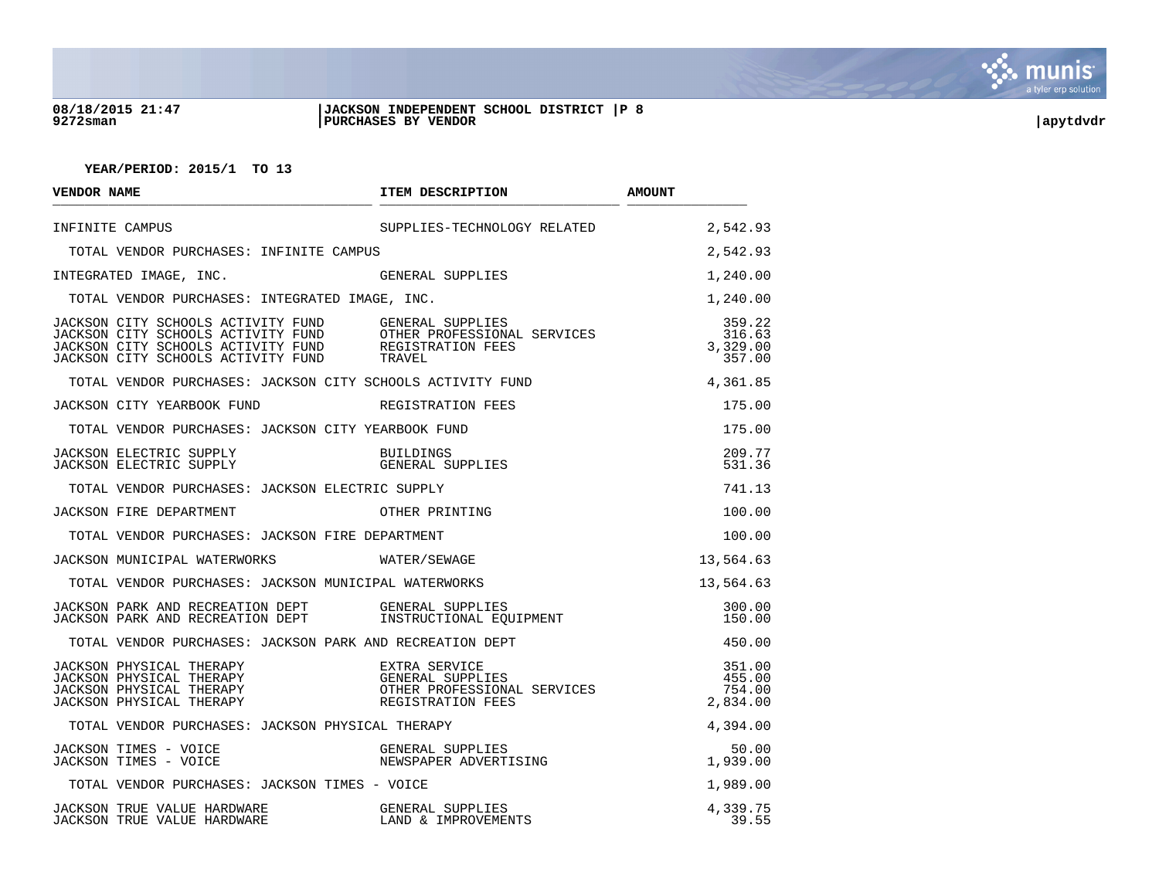

### **08/18/2015 21:47 |JACKSON INDEPENDENT SCHOOL DISTRICT |P 8 9272sman |PURCHASES BY VENDOR |apytdvdr**

| VENDOR NAME                                                                                                                                                                                                                                                                       | ITEM DESCRIPTION                                                   | <b>AMOUNT</b>                          |
|-----------------------------------------------------------------------------------------------------------------------------------------------------------------------------------------------------------------------------------------------------------------------------------|--------------------------------------------------------------------|----------------------------------------|
| INFINITE CAMPUS                                                                                                                                                                                                                                                                   | SUPPLIES-TECHNOLOGY RELATED                                        | 2,542.93                               |
| TOTAL VENDOR PURCHASES: INFINITE CAMPUS                                                                                                                                                                                                                                           |                                                                    | 2,542.93                               |
| INTEGRATED IMAGE, INC.                                                                                                                                                                                                                                                            | GENERAL SUPPLIES                                                   | 1,240.00                               |
| TOTAL VENDOR PURCHASES: INTEGRATED IMAGE, INC.                                                                                                                                                                                                                                    |                                                                    | 1,240.00                               |
| JACKSON CITY SCHOOLS ACTIVITY FUND GENERAL SUPPLIES<br>JACKSON CITY SCHOOLS ACTIVITY FUND GENERAL SUPPLIES<br>JACKSON CITY SCHOOLS ACTIVITY FUND OTHER PROFESSIONAL SERVICES<br>JACKSON CITY SCHOOLS ACTIVITY FUND REGISTRATION FEES<br>JACKSON CITY SCHOOLS ACTIVITY FUND TRAVEL |                                                                    | 359.22<br>316.63<br>3,329.00<br>357.00 |
| TOTAL VENDOR PURCHASES: JACKSON CITY SCHOOLS ACTIVITY FUND                                                                                                                                                                                                                        |                                                                    | 4,361.85                               |
| JACKSON CITY YEARBOOK FUND THE REGISTRATION FEES                                                                                                                                                                                                                                  |                                                                    | 175.00                                 |
| TOTAL VENDOR PURCHASES: JACKSON CITY YEARBOOK FUND                                                                                                                                                                                                                                |                                                                    | 175.00                                 |
|                                                                                                                                                                                                                                                                                   |                                                                    | 209.77<br>531.36                       |
| TOTAL VENDOR PURCHASES: JACKSON ELECTRIC SUPPLY                                                                                                                                                                                                                                   |                                                                    | 741.13                                 |
| JACKSON FIRE DEPARTMENT                                                                                                                                                                                                                                                           | OTHER PRINTING                                                     | 100.00                                 |
| TOTAL VENDOR PURCHASES: JACKSON FIRE DEPARTMENT                                                                                                                                                                                                                                   |                                                                    | 100.00                                 |
| JACKSON MUNICIPAL WATERWORKS WATER/SEWAGE                                                                                                                                                                                                                                         |                                                                    | 13,564.63                              |
| TOTAL VENDOR PURCHASES: JACKSON MUNICIPAL WATERWORKS                                                                                                                                                                                                                              |                                                                    | 13,564.63                              |
| JACKSON PARK AND RECREATION DEPT GENERAL SUPPLIES<br>JACKSON PARK AND RECREATION DEPT        INSTRUCTIONAL EQUIPMENT                                                                                                                                                              |                                                                    | 300.00<br>150.00                       |
| TOTAL VENDOR PURCHASES: JACKSON PARK AND RECREATION DEPT                                                                                                                                                                                                                          |                                                                    | 450.00                                 |
| JACKSON PHYSICAL THERAPY<br>JACKSON PHYSICAL THERAPY                                                                                                                                                                                                                              | OTHER PROFESSIONAL SERVICES<br>REGISTRATION FEES                   | 351.00<br>455.00<br>754.00<br>2,834.00 |
| TOTAL VENDOR PURCHASES: JACKSON PHYSICAL THERAPY                                                                                                                                                                                                                                  |                                                                    | 4,394.00                               |
| JACKSON TIMES - VOICE<br>JACKSON TIMES - VOICE                                                                                                                                                                                                                                    | GENERAL SUPPLIES<br>NEWSPAPER ADVERTISING<br>NEWSPAPER ADVERTISING | 50.00<br>1,939.00                      |
| TOTAL VENDOR PURCHASES: JACKSON TIMES - VOICE                                                                                                                                                                                                                                     |                                                                    | 1,989.00                               |
| JACKSON TRUE VALUE HARDWARE<br>JACKSON TRUE VALUE HARDWARE                                                                                                                                                                                                                        | GENERAL SUPPLIES<br>LAND & IMPROVEMEI<br>LAND & IMPROVEMENTS       | 4,339.75<br>39.55                      |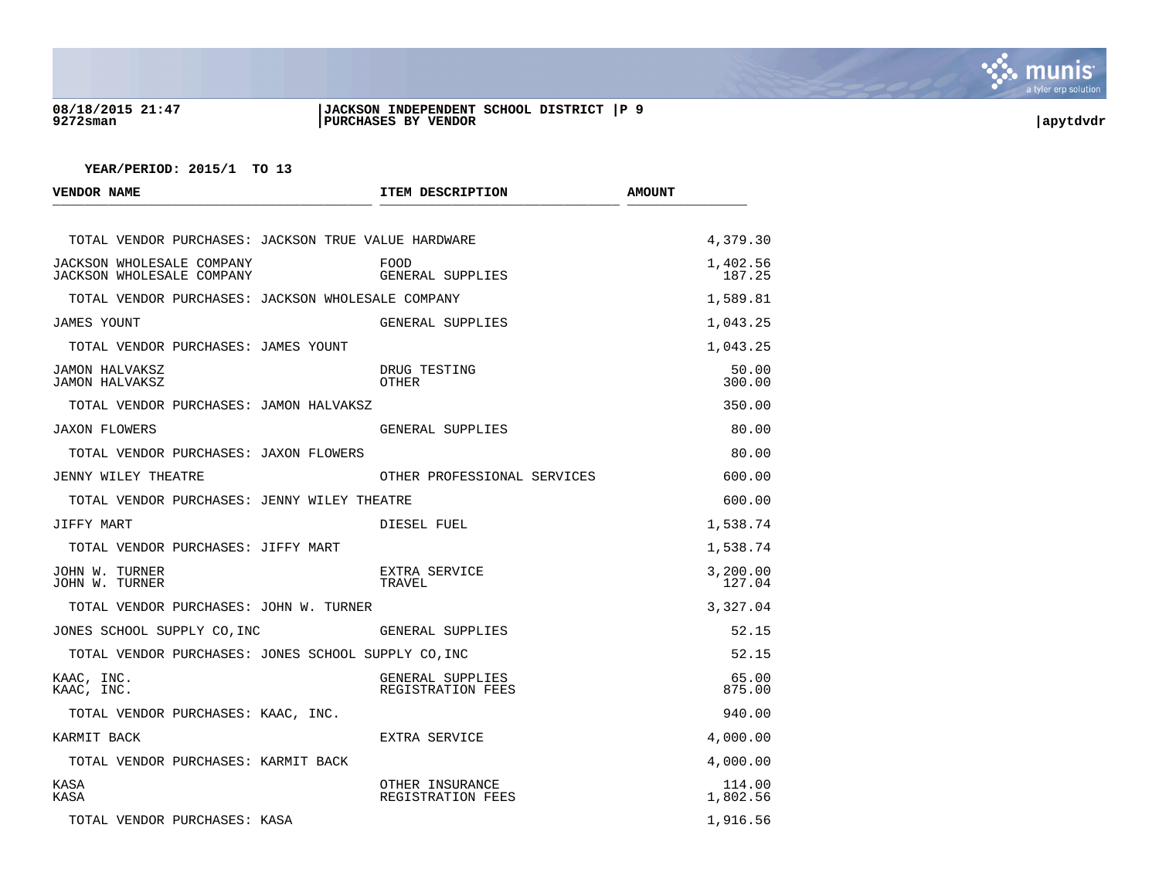

## **08/18/2015 21:47 |JACKSON INDEPENDENT SCHOOL DISTRICT |P 9 9272sman |PURCHASES BY VENDOR |apytdvdr**

| <b>VENDOR NAME</b>                                     | ITEM DESCRIPTION                      | <b>AMOUNT</b>      |
|--------------------------------------------------------|---------------------------------------|--------------------|
| TOTAL VENDOR PURCHASES: JACKSON TRUE VALUE HARDWARE    |                                       | 4,379.30           |
| JACKSON WHOLESALE COMPANY<br>JACKSON WHOLESALE COMPANY | FOOD<br>GENERAL SUPPLIES              | 1,402.56<br>187.25 |
| TOTAL VENDOR PURCHASES: JACKSON WHOLESALE COMPANY      |                                       | 1,589.81           |
| JAMES YOUNT                                            | GENERAL SUPPLIES                      | 1,043.25           |
| TOTAL VENDOR PURCHASES: JAMES YOUNT                    |                                       | 1,043.25           |
| <b>JAMON HALVAKSZ</b><br><b>JAMON HALVAKSZ</b>         | DRUG TESTING<br>OTHER                 | 50.00<br>300.00    |
| TOTAL VENDOR PURCHASES: JAMON HALVAKSZ                 |                                       | 350.00             |
| <b>JAXON FLOWERS</b>                                   | GENERAL SUPPLIES                      | 80.00              |
| TOTAL VENDOR PURCHASES: JAXON FLOWERS                  |                                       | 80.00              |
| JENNY WILEY THEATRE                                    | OTHER PROFESSIONAL SERVICES           | 600.00             |
| TOTAL VENDOR PURCHASES: JENNY WILEY THEATRE            |                                       | 600.00             |
| JIFFY MART                                             | DIESEL FUEL                           | 1,538.74           |
| TOTAL VENDOR PURCHASES: JIFFY MART                     |                                       | 1,538.74           |
| JOHN W. TURNER<br>JOHN W. TURNER                       | EXTRA SERVICE<br>TRAVEL               | 3,200.00<br>127.04 |
| TOTAL VENDOR PURCHASES: JOHN W. TURNER                 |                                       | 3,327.04           |
| JONES SCHOOL SUPPLY CO, INC                            | GENERAL SUPPLIES                      | 52.15              |
| TOTAL VENDOR PURCHASES: JONES SCHOOL SUPPLY CO, INC    |                                       | 52.15              |
| KAAC, INC.<br>KAAC, INC.                               | GENERAL SUPPLIES<br>REGISTRATION FEES | 65.00<br>875.00    |
| TOTAL VENDOR PURCHASES: KAAC, INC.                     |                                       | 940.00             |
| KARMIT BACK                                            | EXTRA SERVICE                         | 4,000.00           |
| TOTAL VENDOR PURCHASES: KARMIT BACK                    |                                       | 4,000.00           |
| KASA<br>KASA                                           | OTHER INSURANCE<br>REGISTRATION FEES  | 114.00<br>1,802.56 |
| TOTAL VENDOR PURCHASES: KASA                           |                                       | 1,916.56           |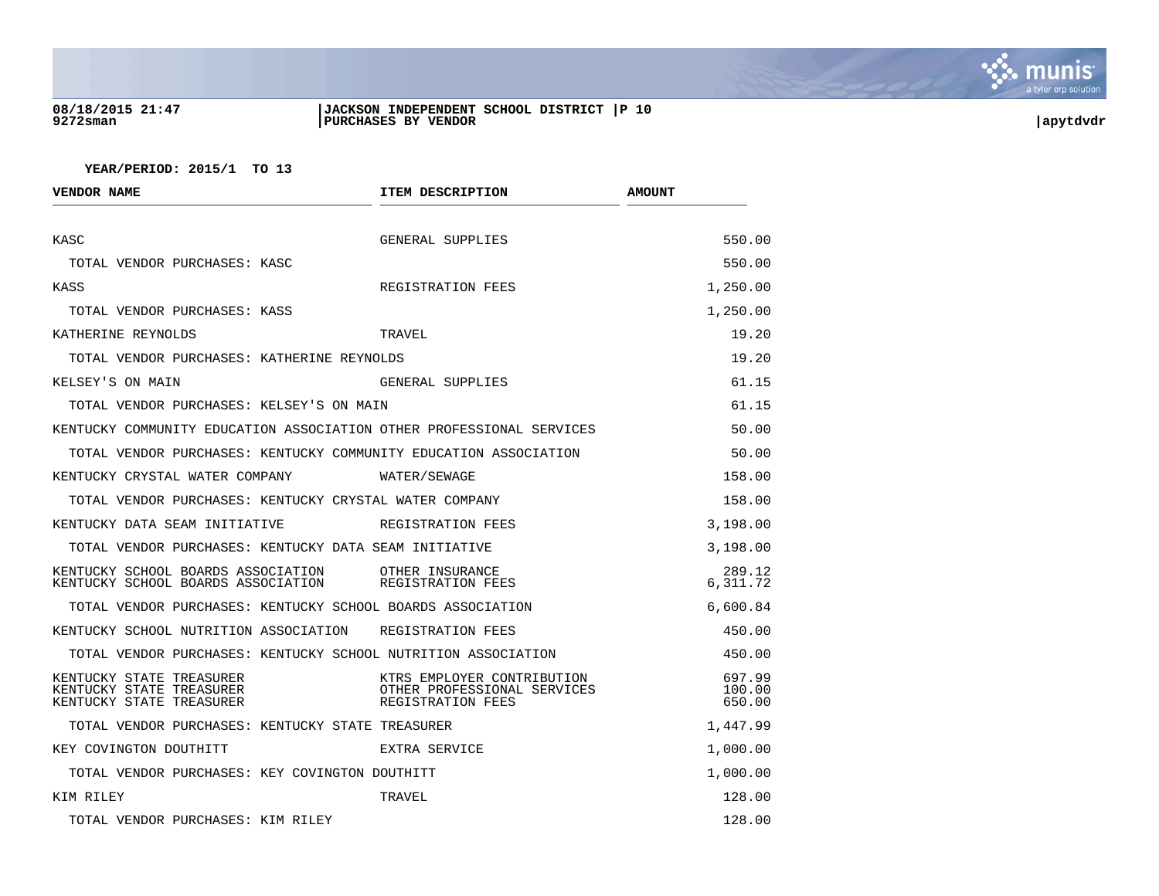

## **08/18/2015 21:47 |JACKSON INDEPENDENT SCHOOL DISTRICT |P 10 9272sman |PURCHASES BY VENDOR |apytdvdr**

| VENDOR NAME                                                                      | ITEM DESCRIPTION                                                               | <b>AMOUNT</b>              |
|----------------------------------------------------------------------------------|--------------------------------------------------------------------------------|----------------------------|
| KASC                                                                             | GENERAL SUPPLIES                                                               | 550.00                     |
| TOTAL VENDOR PURCHASES: KASC                                                     |                                                                                | 550.00                     |
| KASS                                                                             | REGISTRATION FEES                                                              | 1,250.00                   |
| TOTAL VENDOR PURCHASES: KASS                                                     |                                                                                |                            |
|                                                                                  |                                                                                | 1,250.00                   |
| KATHERINE REYNOLDS                                                               | TRAVEL                                                                         | 19.20                      |
| TOTAL VENDOR PURCHASES: KATHERINE REYNOLDS                                       |                                                                                | 19.20                      |
| KELSEY'S ON MAIN                                                                 | GENERAL SUPPLIES                                                               | 61.15                      |
| TOTAL VENDOR PURCHASES: KELSEY'S ON MAIN                                         |                                                                                | 61.15                      |
| KENTUCKY COMMUNITY EDUCATION ASSOCIATION OTHER PROFESSIONAL SERVICES             |                                                                                | 50.00                      |
| TOTAL VENDOR PURCHASES: KENTUCKY COMMUNITY EDUCATION ASSOCIATION                 |                                                                                | 50.00                      |
| KENTUCKY CRYSTAL WATER COMPANY WATER/SEWAGE                                      |                                                                                | 158.00                     |
| TOTAL VENDOR PURCHASES: KENTUCKY CRYSTAL WATER COMPANY                           |                                                                                | 158.00                     |
| KENTUCKY DATA SEAM INITIATIVE                                                    | REGISTRATION FEES                                                              | 3,198.00                   |
| TOTAL VENDOR PURCHASES: KENTUCKY DATA SEAM INITIATIVE                            |                                                                                | 3,198.00                   |
| KENTUCKY SCHOOL BOARDS ASSOCIATION<br>KENTUCKY SCHOOL BOARDS ASSOCIATION         | OTHER INSURANCE<br>REGISTRATION FEES                                           | 289.12<br>6,311.72         |
| TOTAL VENDOR PURCHASES: KENTUCKY SCHOOL BOARDS ASSOCIATION                       |                                                                                | 6,600.84                   |
| KENTUCKY SCHOOL NUTRITION ASSOCIATION REGISTRATION FEES                          |                                                                                | 450.00                     |
| TOTAL VENDOR PURCHASES: KENTUCKY SCHOOL NUTRITION ASSOCIATION                    |                                                                                | 450.00                     |
| KENTUCKY STATE TREASURER<br>KENTUCKY STATE TREASURER<br>KENTUCKY STATE TREASURER | KTRS EMPLOYER CONTRIBUTION<br>OTHER PROFESSIONAL SERVICES<br>REGISTRATION FEES | 697.99<br>100.00<br>650.00 |
| TOTAL VENDOR PURCHASES: KENTUCKY STATE TREASURER                                 |                                                                                | 1,447.99                   |
| KEY COVINGTON DOUTHITT                                                           | EXTRA SERVICE                                                                  | 1,000.00                   |
| TOTAL VENDOR PURCHASES: KEY COVINGTON DOUTHITT                                   |                                                                                | 1,000.00                   |
| KIM RILEY                                                                        | TRAVEL                                                                         | 128.00                     |
| TOTAL VENDOR PURCHASES: KIM RILEY                                                |                                                                                | 128.00                     |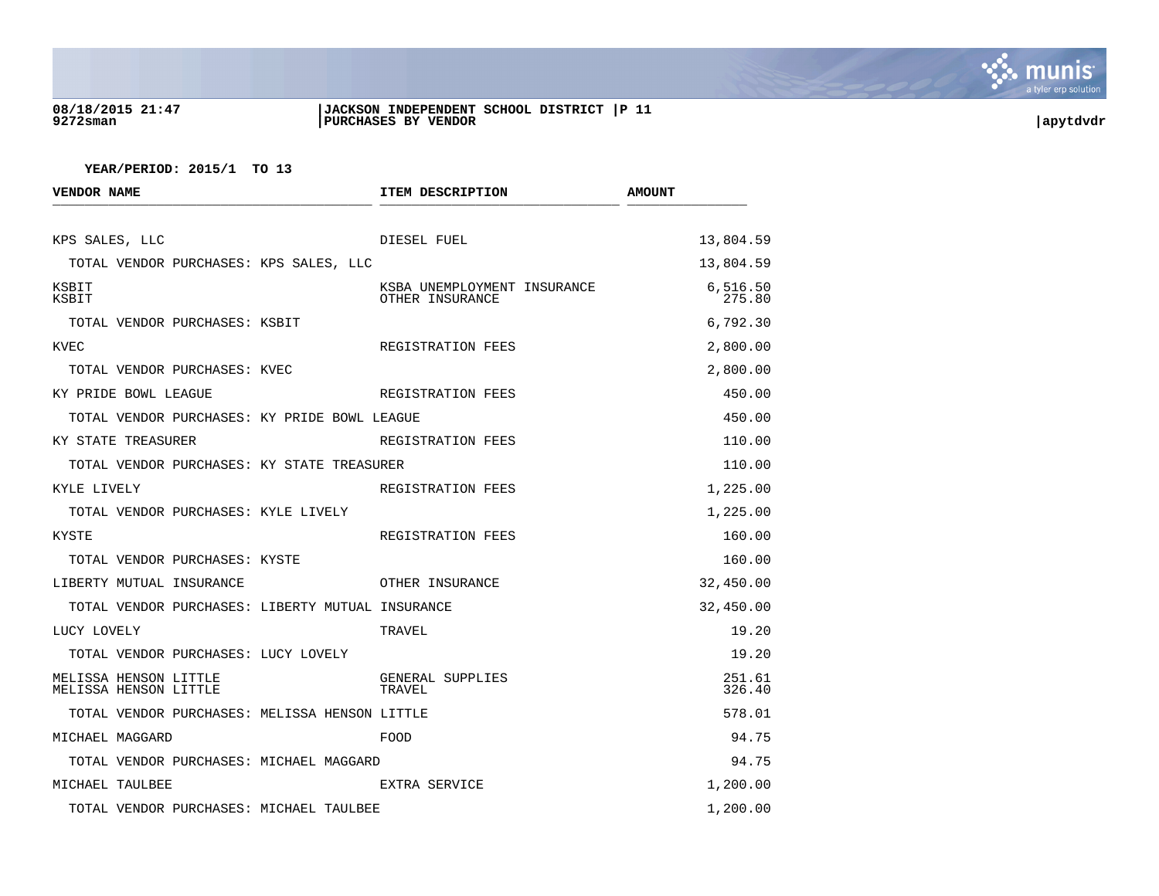

### **08/18/2015 21:47 |JACKSON INDEPENDENT SCHOOL DISTRICT |P 11 9272sman |PURCHASES BY VENDOR |apytdvdr**

| <b>VENDOR NAME</b>                               | ITEM DESCRIPTION                               | <b>AMOUNT</b>      |
|--------------------------------------------------|------------------------------------------------|--------------------|
| KPS SALES, LLC                                   | DIESEL FUEL                                    | 13,804.59          |
| TOTAL VENDOR PURCHASES: KPS SALES, LLC           |                                                | 13,804.59          |
| KSBIT<br>KSBIT                                   | KSBA UNEMPLOYMENT INSURANCE<br>OTHER INSURANCE | 6,516.50<br>275.80 |
| TOTAL VENDOR PURCHASES: KSBIT                    |                                                | 6,792.30           |
| KVEC                                             | REGISTRATION FEES                              | 2,800.00           |
| TOTAL VENDOR PURCHASES: KVEC                     |                                                | 2,800.00           |
| KY PRIDE BOWL LEAGUE                             | REGISTRATION FEES                              | 450.00             |
| TOTAL VENDOR PURCHASES: KY PRIDE BOWL LEAGUE     |                                                | 450.00             |
| KY STATE TREASURER                               | REGISTRATION FEES                              | 110.00             |
| TOTAL VENDOR PURCHASES: KY STATE TREASURER       |                                                | 110.00             |
| KYLE LIVELY                                      | REGISTRATION FEES                              | 1,225.00           |
| TOTAL VENDOR PURCHASES: KYLE LIVELY              |                                                | 1,225.00           |
| KYSTE                                            | REGISTRATION FEES                              | 160.00             |
| TOTAL VENDOR PURCHASES: KYSTE                    |                                                | 160.00             |
| LIBERTY MUTUAL INSURANCE                         | OTHER INSURANCE                                | 32,450.00          |
| TOTAL VENDOR PURCHASES: LIBERTY MUTUAL INSURANCE |                                                | 32,450.00          |
| LUCY LOVELY                                      | TRAVEL                                         | 19.20              |
| TOTAL VENDOR PURCHASES: LUCY LOVELY              |                                                | 19.20              |
| MELISSA HENSON LITTLE<br>MELISSA HENSON LITTLE   | GENERAL SUPPLIES<br>TRAVEL                     | 251.61<br>326.40   |
| TOTAL VENDOR PURCHASES: MELISSA HENSON LITTLE    |                                                | 578.01             |
| MICHAEL MAGGARD                                  | FOOD                                           | 94.75              |
| TOTAL VENDOR PURCHASES: MICHAEL MAGGARD          |                                                | 94.75              |
| MICHAEL TAULBEE                                  | EXTRA SERVICE                                  | 1,200.00           |
| TOTAL VENDOR PURCHASES: MICHAEL TAULBEE          |                                                | 1,200.00           |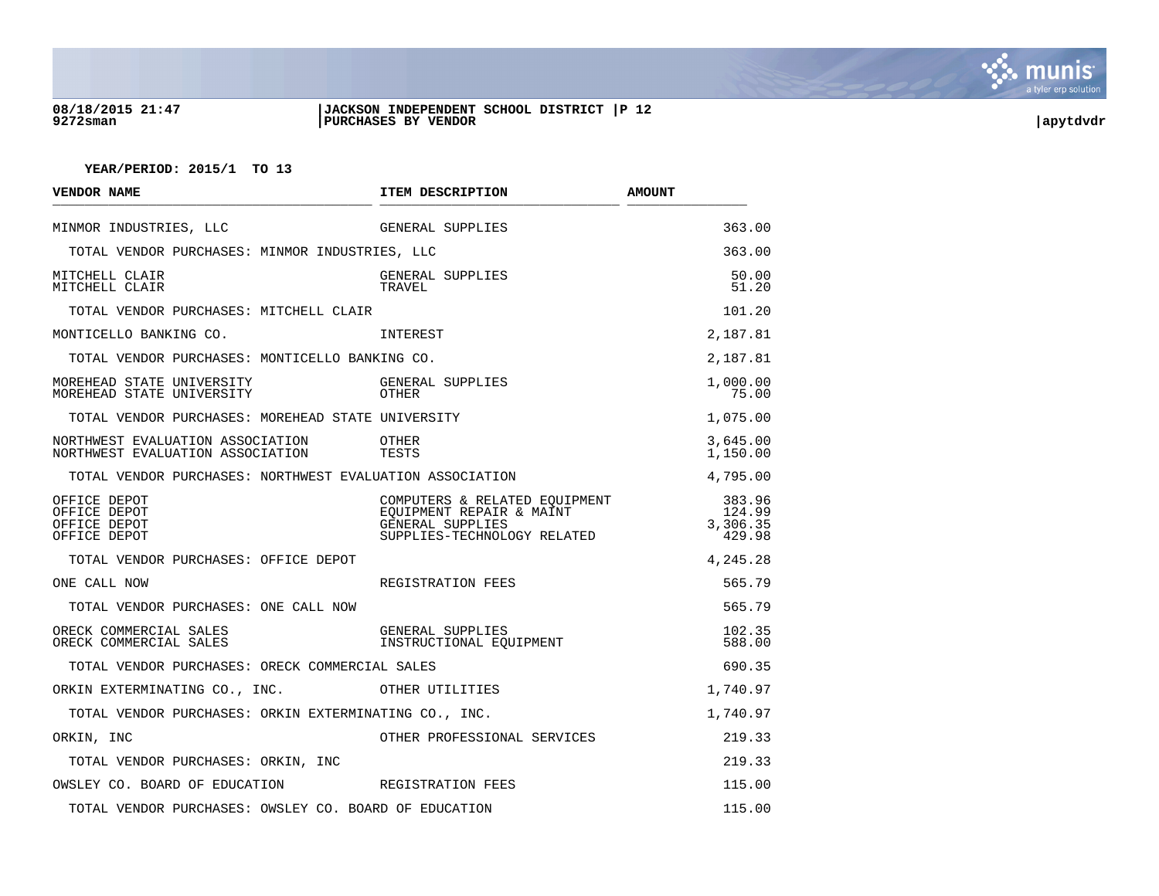

### **08/18/2015 21:47 |JACKSON INDEPENDENT SCHOOL DISTRICT |P 12 9272sman |PURCHASES BY VENDOR |apytdvdr**

| <b>VENDOR NAME</b>                                                   | ITEM DESCRIPTION                                                                                             | <b>AMOUNT</b>                          |
|----------------------------------------------------------------------|--------------------------------------------------------------------------------------------------------------|----------------------------------------|
| MINMOR INDUSTRIES, LLC                                               | GENERAL SUPPLIES                                                                                             | 363.00                                 |
| TOTAL VENDOR PURCHASES: MINMOR INDUSTRIES, LLC                       |                                                                                                              | 363.00                                 |
| MITCHELL CLAIR<br>MITCHELL CLAIR                                     | GENERAL SUPPLIES<br>TRAVEL                                                                                   | 50.00<br>51.20                         |
| TOTAL VENDOR PURCHASES: MITCHELL CLAIR                               |                                                                                                              | 101.20                                 |
| MONTICELLO BANKING CO.                                               | INTEREST                                                                                                     | 2,187.81                               |
| TOTAL VENDOR PURCHASES: MONTICELLO BANKING CO.                       |                                                                                                              | 2,187.81                               |
| MOREHEAD STATE UNIVERSITY<br>MOREHEAD STATE UNIVERSITY               | GENERAL SUPPLIES<br>OTHER                                                                                    | 1,000.00<br>75.00                      |
| TOTAL VENDOR PURCHASES: MOREHEAD STATE UNIVERSITY                    |                                                                                                              | 1,075.00                               |
| NORTHWEST EVALUATION ASSOCIATION<br>NORTHWEST EVALUATION ASSOCIATION | OTHER<br>TESTS                                                                                               | 3,645.00<br>1,150.00                   |
| TOTAL VENDOR PURCHASES: NORTHWEST EVALUATION ASSOCIATION             |                                                                                                              | 4,795.00                               |
| OFFICE DEPOT<br>OFFICE DEPOT<br>OFFICE DEPOT<br>OFFICE DEPOT         | COMPUTERS & RELATED EQUIPMENT<br>EOUIPMENT REPAIR & MAINT<br>GENERAL SUPPLIES<br>SUPPLIES-TECHNOLOGY RELATED | 383.96<br>124.99<br>3,306.35<br>429.98 |
| TOTAL VENDOR PURCHASES: OFFICE DEPOT                                 |                                                                                                              | 4,245.28                               |
| ONE CALL NOW                                                         | REGISTRATION FEES                                                                                            | 565.79                                 |
| TOTAL VENDOR PURCHASES: ONE CALL NOW                                 |                                                                                                              | 565.79                                 |
| ORECK COMMERCIAL SALES<br>ORECK COMMERCIAL SALES                     | GENERAL SUPPLIES<br>INSTRUCTIONAL EOUIPMENT                                                                  | 102.35<br>588.00                       |
| TOTAL VENDOR PURCHASES: ORECK COMMERCIAL SALES                       |                                                                                                              | 690.35                                 |
| ORKIN EXTERMINATING CO., INC.                                        | OTHER UTILITIES                                                                                              | 1,740.97                               |
| TOTAL VENDOR PURCHASES: ORKIN EXTERMINATING CO., INC.                |                                                                                                              | 1,740.97                               |
| ORKIN, INC                                                           | OTHER PROFESSIONAL SERVICES                                                                                  | 219.33                                 |
| TOTAL VENDOR PURCHASES: ORKIN, INC                                   |                                                                                                              | 219.33                                 |
| OWSLEY CO. BOARD OF EDUCATION TEES REGISTRATION FEES                 |                                                                                                              | 115.00                                 |
| TOTAL VENDOR PURCHASES: OWSLEY CO. BOARD OF EDUCATION                |                                                                                                              | 115.00                                 |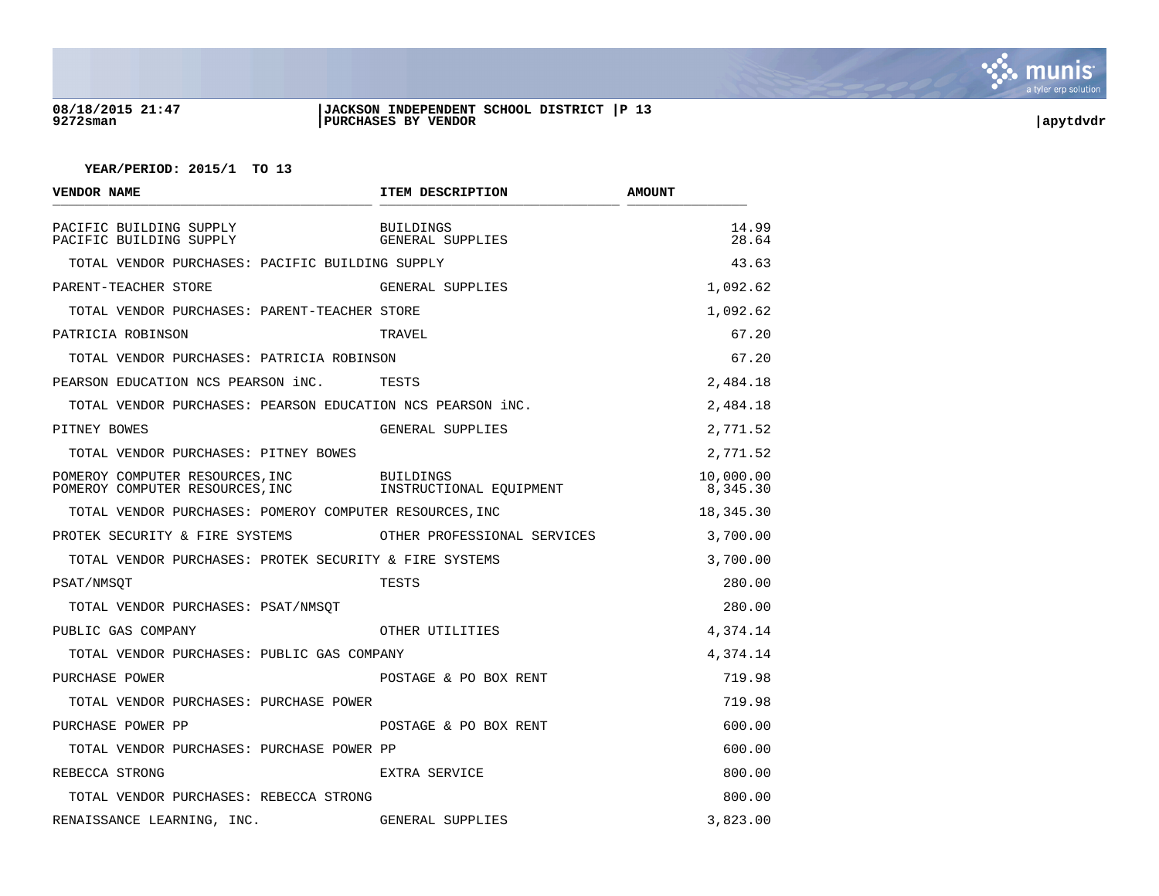

## **08/18/2015 21:47 |JACKSON INDEPENDENT SCHOOL DISTRICT |P 13 9272sman |PURCHASES BY VENDOR |apytdvdr**

| <b>VENDOR NAME</b>                                                 | ITEM DESCRIPTION                            | <b>AMOUNT</b>         |
|--------------------------------------------------------------------|---------------------------------------------|-----------------------|
| PACIFIC BUILDING SUPPLY<br>PACIFIC BUILDING SUPPLY                 | <b>BUILDINGS</b><br>GENERAL SUPPLIES        | 14.99<br>28.64        |
| TOTAL VENDOR PURCHASES: PACIFIC BUILDING SUPPLY                    |                                             | 43.63                 |
| PARENT-TEACHER STORE                                               | GENERAL SUPPLIES                            | 1,092.62              |
| TOTAL VENDOR PURCHASES: PARENT-TEACHER STORE                       |                                             | 1,092.62              |
| PATRICIA ROBINSON                                                  | TRAVEL                                      | 67.20                 |
| TOTAL VENDOR PURCHASES: PATRICIA ROBINSON                          |                                             | 67.20                 |
| PEARSON EDUCATION NCS PEARSON iNC.                                 | TESTS                                       | 2,484.18              |
| TOTAL VENDOR PURCHASES: PEARSON EDUCATION NCS PEARSON iNC.         |                                             | 2,484.18              |
| PITNEY BOWES                                                       | GENERAL SUPPLIES                            | 2,771.52              |
| TOTAL VENDOR PURCHASES: PITNEY BOWES                               |                                             | 2,771.52              |
| POMEROY COMPUTER RESOURCES, INC<br>POMEROY COMPUTER RESOURCES, INC | <b>BUILDINGS</b><br>INSTRUCTIONAL EQUIPMENT | 10,000.00<br>8,345.30 |
| TOTAL VENDOR PURCHASES: POMEROY COMPUTER RESOURCES, INC            |                                             | 18,345.30             |
| PROTEK SECURITY & FIRE SYSTEMS                                     | OTHER PROFESSIONAL SERVICES                 | 3,700.00              |
| TOTAL VENDOR PURCHASES: PROTEK SECURITY & FIRE SYSTEMS             |                                             | 3,700.00              |
| PSAT/NMSOT                                                         | TESTS                                       | 280.00                |
| TOTAL VENDOR PURCHASES: PSAT/NMSQT                                 |                                             | 280.00                |
| PUBLIC GAS COMPANY                                                 | OTHER UTILITIES                             | 4,374.14              |
| TOTAL VENDOR PURCHASES: PUBLIC GAS COMPANY                         |                                             | 4,374.14              |
| PURCHASE POWER                                                     | POSTAGE & PO BOX RENT                       | 719.98                |
| TOTAL VENDOR PURCHASES: PURCHASE POWER                             |                                             | 719.98                |
| PURCHASE POWER PP                                                  | POSTAGE & PO BOX RENT                       | 600.00                |
| TOTAL VENDOR PURCHASES: PURCHASE POWER PP                          |                                             | 600.00                |
| REBECCA STRONG                                                     | EXTRA SERVICE                               | 800.00                |
| TOTAL VENDOR PURCHASES: REBECCA STRONG                             |                                             | 800.00                |
| RENAISSANCE LEARNING, INC.                                         | GENERAL SUPPLIES                            | 3,823.00              |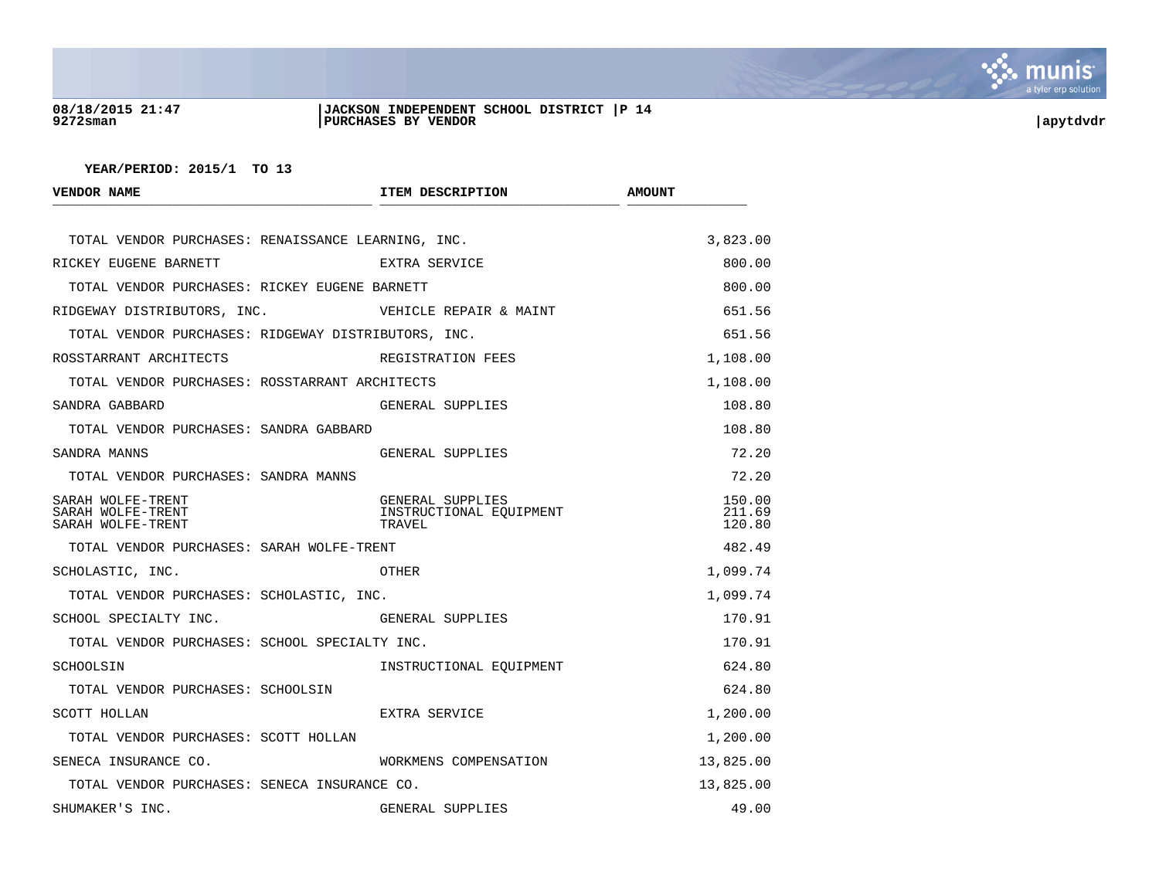

## **08/18/2015 21:47 |JACKSON INDEPENDENT SCHOOL DISTRICT |P 14 9272sman |PURCHASES BY VENDOR |apytdvdr**

| <b>VENDOR NAME</b>                                          | ITEM DESCRIPTION                                      | <b>AMOUNT</b>              |
|-------------------------------------------------------------|-------------------------------------------------------|----------------------------|
| TOTAL VENDOR PURCHASES: RENAISSANCE LEARNING, INC.          |                                                       | 3,823.00                   |
| RICKEY EUGENE BARNETT                                       | EXTRA SERVICE                                         | 800.00                     |
| TOTAL VENDOR PURCHASES: RICKEY EUGENE BARNETT               |                                                       | 800.00                     |
| RIDGEWAY DISTRIBUTORS, INC.                                 | VEHICLE REPAIR & MAINT                                | 651.56                     |
| TOTAL VENDOR PURCHASES: RIDGEWAY DISTRIBUTORS, INC.         |                                                       | 651.56                     |
| ROSSTARRANT ARCHITECTS                                      | REGISTRATION FEES                                     | 1,108.00                   |
| TOTAL VENDOR PURCHASES: ROSSTARRANT ARCHITECTS              |                                                       | 1,108.00                   |
| SANDRA GABBARD                                              | GENERAL SUPPLIES                                      | 108.80                     |
| TOTAL VENDOR PURCHASES: SANDRA GABBARD                      |                                                       | 108.80                     |
| SANDRA MANNS                                                | GENERAL SUPPLIES                                      | 72.20                      |
| TOTAL VENDOR PURCHASES: SANDRA MANNS                        |                                                       | 72.20                      |
| SARAH WOLFE-TRENT<br>SARAH WOLFE-TRENT<br>SARAH WOLFE-TRENT | GENERAL SUPPLIES<br>INSTRUCTIONAL EOUIPMENT<br>TRAVEL | 150.00<br>211.69<br>120.80 |
| TOTAL VENDOR PURCHASES: SARAH WOLFE-TRENT                   |                                                       | 482.49                     |
| SCHOLASTIC, INC.                                            | OTHER                                                 | 1,099.74                   |
| TOTAL VENDOR PURCHASES: SCHOLASTIC, INC.                    |                                                       | 1,099.74                   |
| SCHOOL SPECIALTY INC.                                       | GENERAL SUPPLIES                                      | 170.91                     |
| TOTAL VENDOR PURCHASES: SCHOOL SPECIALTY INC.               |                                                       | 170.91                     |
| SCHOOLSIN                                                   | INSTRUCTIONAL EOUIPMENT                               | 624.80                     |
| TOTAL VENDOR PURCHASES: SCHOOLSIN                           |                                                       | 624.80                     |
| SCOTT HOLLAN                                                | EXTRA SERVICE                                         | 1,200.00                   |
| TOTAL VENDOR PURCHASES: SCOTT HOLLAN                        |                                                       | 1,200.00                   |
| SENECA INSURANCE CO.                                        | WORKMENS COMPENSATION                                 | 13,825.00                  |
| TOTAL VENDOR PURCHASES: SENECA INSURANCE CO.                |                                                       | 13,825.00                  |
| SHUMAKER'S INC.                                             | GENERAL SUPPLIES                                      | 49.00                      |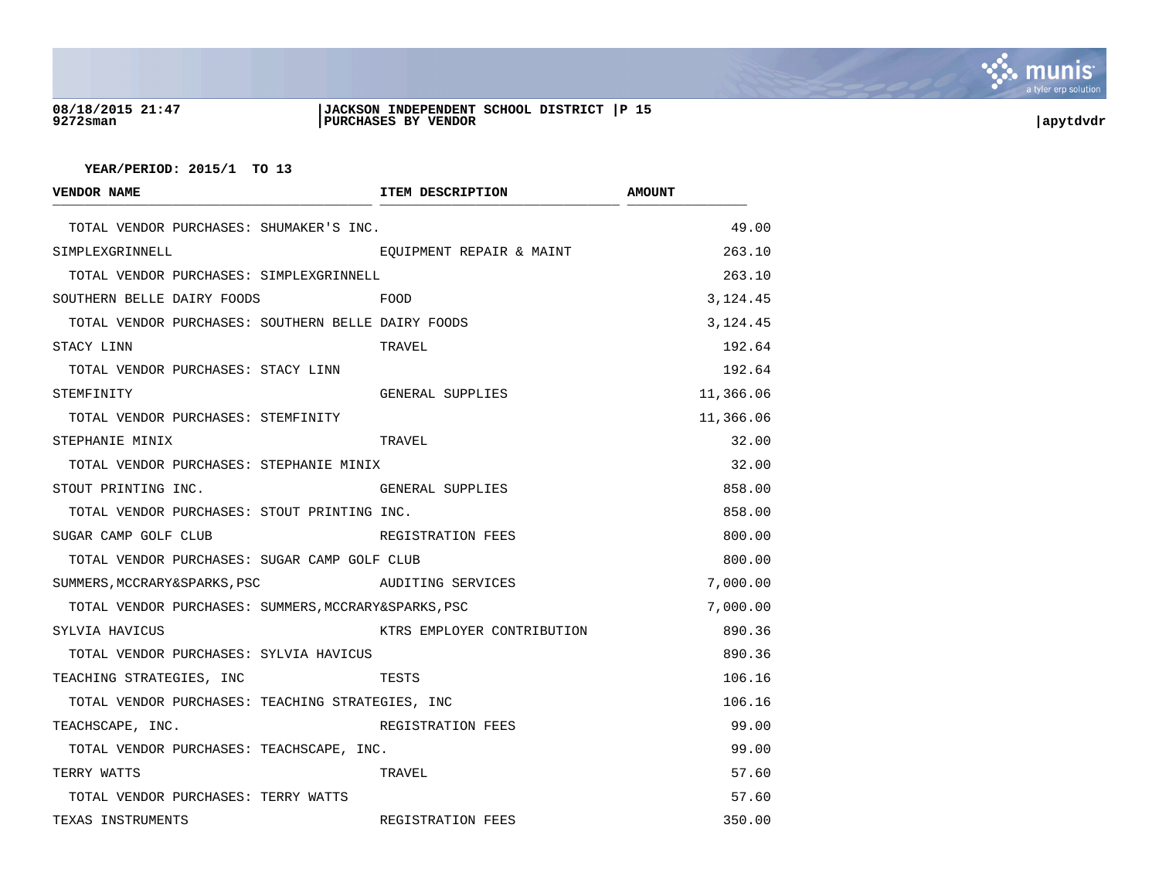

## **08/18/2015 21:47 |JACKSON INDEPENDENT SCHOOL DISTRICT |P 15 9272sman |PURCHASES BY VENDOR |apytdvdr**

| <b>VENDOR NAME</b>                                   | ITEM DESCRIPTION           | <b>AMOUNT</b> |
|------------------------------------------------------|----------------------------|---------------|
| TOTAL VENDOR PURCHASES: SHUMAKER'S INC.              |                            | 49.00         |
| SIMPLEXGRINNELL                                      | EOUIPMENT REPAIR & MAINT   | 263.10        |
| TOTAL VENDOR PURCHASES: SIMPLEXGRINNELL              |                            | 263.10        |
| SOUTHERN BELLE DAIRY FOODS                           | FOOD                       | 3,124.45      |
| TOTAL VENDOR PURCHASES: SOUTHERN BELLE DAIRY FOODS   |                            | 3,124.45      |
| STACY LINN                                           | TRAVEL                     | 192.64        |
| TOTAL VENDOR PURCHASES: STACY LINN                   |                            | 192.64        |
| STEMFINITY                                           | GENERAL SUPPLIES           | 11,366.06     |
| TOTAL VENDOR PURCHASES: STEMFINITY                   |                            | 11,366.06     |
| STEPHANIE MINIX                                      | TRAVEL                     | 32.00         |
| TOTAL VENDOR PURCHASES: STEPHANIE MINIX              |                            | 32.00         |
| STOUT PRINTING INC.                                  | GENERAL SUPPLIES           | 858.00        |
| TOTAL VENDOR PURCHASES: STOUT PRINTING INC.          |                            | 858.00        |
| SUGAR CAMP GOLF CLUB                                 | REGISTRATION FEES          | 800.00        |
| TOTAL VENDOR PURCHASES: SUGAR CAMP GOLF CLUB         |                            | 800.00        |
| SUMMERS, MCCRARY&SPARKS, PSC                         | AUDITING SERVICES          | 7,000.00      |
| TOTAL VENDOR PURCHASES: SUMMERS, MCCRARY&SPARKS, PSC |                            | 7,000.00      |
| SYLVIA HAVICUS                                       | KTRS EMPLOYER CONTRIBUTION | 890.36        |
| TOTAL VENDOR PURCHASES: SYLVIA HAVICUS               |                            | 890.36        |
| TEACHING STRATEGIES, INC                             | TESTS                      | 106.16        |
| TOTAL VENDOR PURCHASES: TEACHING STRATEGIES, INC     |                            | 106.16        |
| TEACHSCAPE, INC.                                     | REGISTRATION FEES          | 99.00         |
| TOTAL VENDOR PURCHASES: TEACHSCAPE, INC.             |                            | 99.00         |
| TERRY WATTS                                          | TRAVEL                     | 57.60         |
| TOTAL VENDOR PURCHASES: TERRY WATTS                  |                            | 57.60         |
| TEXAS INSTRUMENTS                                    | REGISTRATION FEES          | 350.00        |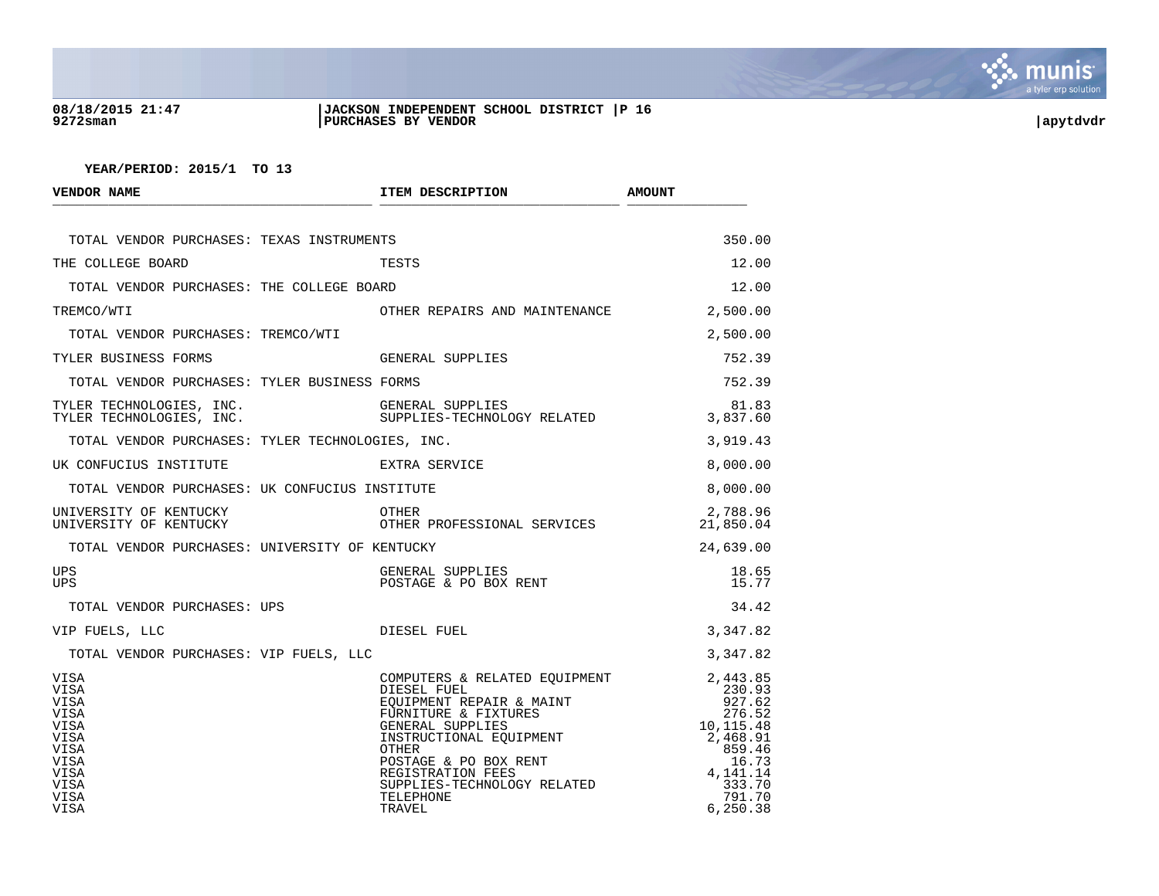

## **08/18/2015 21:47 |JACKSON INDEPENDENT SCHOOL DISTRICT |P 16 9272sman |PURCHASES BY VENDOR |apytdvdr**

| <b>VENDOR NAME</b>                                                                                                       | ITEM DESCRIPTION                                                                                                                                                                                                                                              | <b>AMOUNT</b>                                                                                                                  |
|--------------------------------------------------------------------------------------------------------------------------|---------------------------------------------------------------------------------------------------------------------------------------------------------------------------------------------------------------------------------------------------------------|--------------------------------------------------------------------------------------------------------------------------------|
| TOTAL VENDOR PURCHASES: TEXAS INSTRUMENTS                                                                                |                                                                                                                                                                                                                                                               | 350.00                                                                                                                         |
| THE COLLEGE BOARD                                                                                                        | TESTS                                                                                                                                                                                                                                                         | 12.00                                                                                                                          |
| TOTAL VENDOR PURCHASES: THE COLLEGE BOARD                                                                                |                                                                                                                                                                                                                                                               | 12.00                                                                                                                          |
| TREMCO/WTI                                                                                                               | OTHER REPAIRS AND MAINTENANCE                                                                                                                                                                                                                                 | 2,500.00                                                                                                                       |
| TOTAL VENDOR PURCHASES: TREMCO/WTI                                                                                       |                                                                                                                                                                                                                                                               | 2,500.00                                                                                                                       |
| TYLER BUSINESS FORMS                                                                                                     | GENERAL SUPPLIES                                                                                                                                                                                                                                              | 752.39                                                                                                                         |
| TOTAL VENDOR PURCHASES: TYLER BUSINESS FORMS                                                                             |                                                                                                                                                                                                                                                               | 752.39                                                                                                                         |
| TYLER TECHNOLOGIES, INC.<br>TYLER TECHNOLOGIES, INC.                                                                     | GENERAL SUPPLIES<br>SUPPLIES-TECHNOLOGY RELATED                                                                                                                                                                                                               | 81.83<br>3,837.60                                                                                                              |
| TOTAL VENDOR PURCHASES: TYLER TECHNOLOGIES, INC.                                                                         |                                                                                                                                                                                                                                                               | 3,919.43                                                                                                                       |
| UK CONFUCIUS INSTITUTE                                                                                                   | EXTRA SERVICE                                                                                                                                                                                                                                                 | 8,000.00                                                                                                                       |
| TOTAL VENDOR PURCHASES: UK CONFUCIUS INSTITUTE                                                                           |                                                                                                                                                                                                                                                               | 8,000.00                                                                                                                       |
| UNIVERSITY OF KENTUCKY<br>UNIVERSITY OF KENTUCKY                                                                         | OTHER<br>OTHER PROFESSIONAL SERVICES                                                                                                                                                                                                                          | 2,788.96<br>21,850.04                                                                                                          |
| TOTAL VENDOR PURCHASES: UNIVERSITY OF KENTUCKY                                                                           |                                                                                                                                                                                                                                                               | 24,639.00                                                                                                                      |
| <b>UPS</b><br><b>UPS</b>                                                                                                 | GENERAL SUPPLIES<br>POSTAGE & PO BOX RENT                                                                                                                                                                                                                     | 18.65<br>15.77                                                                                                                 |
| TOTAL VENDOR PURCHASES: UPS                                                                                              |                                                                                                                                                                                                                                                               | 34.42                                                                                                                          |
| VIP FUELS, LLC                                                                                                           | DIESEL FUEL                                                                                                                                                                                                                                                   | 3,347.82                                                                                                                       |
| TOTAL VENDOR PURCHASES: VIP FUELS, LLC                                                                                   |                                                                                                                                                                                                                                                               | 3,347.82                                                                                                                       |
| VISA<br><b>VISA</b><br>VISA<br>VISA<br>VISA<br>VISA<br><b>VISA</b><br><b>VISA</b><br><b>VISA</b><br>VISA<br>VISA<br>VISA | COMPUTERS & RELATED EQUIPMENT 2,443.85<br>---- KEPAIR & MAINT<br>FURNITURE & FIXTURES<br>GENERAL SUPPLIES<br>INSTRUCTIONAL EQUIPMENT<br>OTHER<br>ONSTAGE & PO BOX RENT<br>REGISTOR<br>REGISTRATION FEES<br>SUPPLIES-TECHNOLOGY RELATED<br>TELEPHONE<br>TRAVEL | 230.93<br>927.62<br>276.52<br>10,115.48<br>2,468.91<br>2,468.91<br>859.46<br>16.73<br>4,141.14<br>333.70<br>791.70<br>6,250.38 |